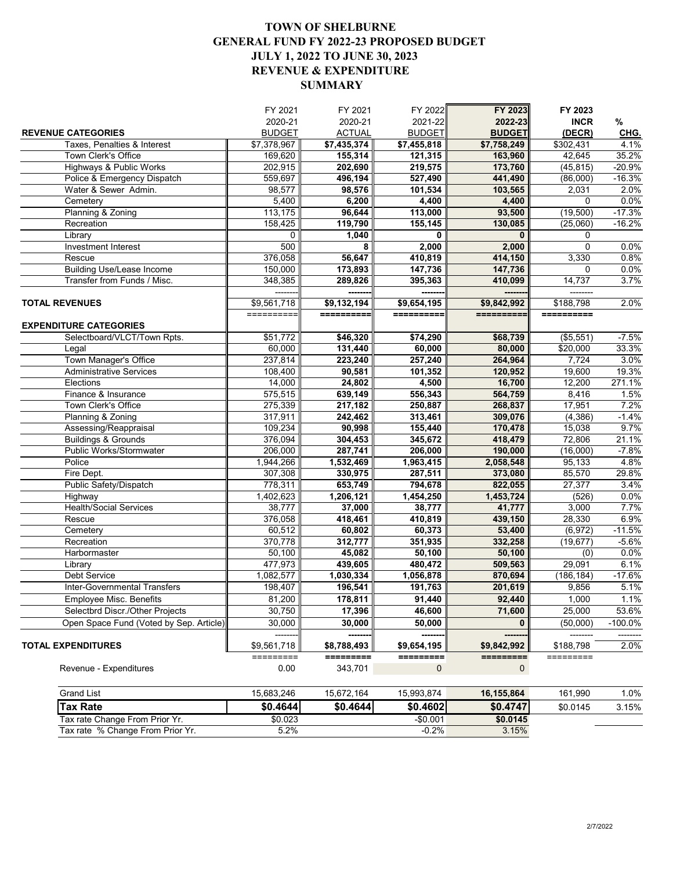## **TOWN OF SHELBURNE GENERAL FUND FY 2022-23 PROPOSED BUDGET JULY 1, 2022 TO JUNE 30, 2023 REVENUE & EXPENDITURE SUMMARY**

|                                         | FY 2021                 | FY 2021                 | FY 2022       | FY 2023                 | FY 2023     |           |
|-----------------------------------------|-------------------------|-------------------------|---------------|-------------------------|-------------|-----------|
|                                         | 2020-21                 | 2020-21                 | 2021-22       | 2022-23                 | <b>INCR</b> | %         |
| <b>REVENUE CATEGORIES</b>               | <b>BUDGET</b>           | <b>ACTUAL</b>           | <b>BUDGET</b> | <b>BUDGET</b>           | (DECR)      | CHG.      |
| Taxes. Penalties & Interest             | $\overline{$7,378,967}$ | $\overline{$7,435,374}$ | \$7,455,818   | $\overline{$7,758,249}$ | \$302,431   | 4.1%      |
| Town Clerk's Office                     | 169,620                 | 155,314                 | 121,315       | 163,960                 | 42,645      | 35.2%     |
| Highways & Public Works                 | 202,915                 | 202,690                 | 219,575       | 173,760                 | (45, 815)   | $-20.9%$  |
| Police & Emergency Dispatch             | 559,697                 | 496,194                 | 527,490       | 441,490                 | (86,000)    | $-16.3%$  |
| Water & Sewer Admin.                    | 98,577                  | 98,576                  | 101,534       | 103,565                 | 2,031       | 2.0%      |
| Cemetery                                | 5,400                   | 6,200                   | 4,400         | 4,400                   | 0           | 0.0%      |
| Planning & Zoning                       | 113,175                 | 96,644                  | 113,000       | 93,500                  | (19,500)    | $-17.3%$  |
| Recreation                              | 158,425                 | 119,790                 | 155,145       | 130,085                 | (25,060)    | $-16.2%$  |
| Library                                 | $\Omega$                | 1,040                   | 0             | $\bf{0}$                | 0           |           |
| <b>Investment Interest</b>              | 500                     | 8                       | 2,000         | 2,000                   | 0           | 0.0%      |
| Rescue                                  | 376,058                 | 56,647                  | 410,819       | 414,150                 | 3,330       | 0.8%      |
| <b>Building Use/Lease Income</b>        | 150,000                 | 173,893                 | 147,736       | 147,736                 | 0           | 0.0%      |
| Transfer from Funds / Misc.             | 348,385                 | 289,826                 | 395,363       | 410,099                 | 14,737      | 3.7%      |
|                                         |                         | ------                  | ------        | -------                 | --------    |           |
| <b>TOTAL REVENUES</b>                   | \$9,561,718             | \$9,132,194             | \$9,654,195   | \$9,842,992             | \$188,798   | 2.0%      |
|                                         | ==========              | ==========              | ==========    | ==========              | ==========  |           |
| <b>EXPENDITURE CATEGORIES</b>           |                         |                         |               |                         |             |           |
| Selectboard/VLCT/Town Rpts.             | \$51,772                | \$46,320                | \$74,290      | \$68,739                | ( \$5,551)  | $-7.5%$   |
| Legal                                   | 60,000                  | 131,440                 | 60,000        | 80,000                  | \$20,000    | 33.3%     |
| Town Manager's Office                   | 237,814                 | 223,240                 | 257,240       | 264,964                 | 7,724       | 3.0%      |
| <b>Administrative Services</b>          | 108,400                 | 90,581                  | 101,352       | 120,952                 | 19,600      | 19.3%     |
| Elections                               | 14,000                  | 24,802                  | 4,500         | 16,700                  | 12,200      | 271.1%    |
| Finance & Insurance                     | 575,515                 | 639,149                 | 556,343       | 564,759                 | 8,416       | 1.5%      |
| Town Clerk's Office                     | 275,339                 | 217,182                 | 250,887       | 268,837                 | 17,951      | 7.2%      |
| Planning & Zoning                       | 317,911                 | 242,462                 | 313,461       | 309,076                 | (4, 386)    | $-1.4%$   |
| Assessing/Reappraisal                   | 109,234                 | 90,998                  | 155,440       | 170,478                 | 15,038      | 9.7%      |
| <b>Buildings &amp; Grounds</b>          | 376,094                 | 304,453                 | 345,672       | 418,479                 | 72,806      | 21.1%     |
| Public Works/Stormwater                 | 206,000                 | 287,741                 | 206,000       | 190,000                 | (16,000)    | $-7.8%$   |
| Police                                  | 1,944,266               | 1,532,469               | 1,963,415     | 2,058,548               | 95,133      | 4.8%      |
| Fire Dept.                              | 307,308                 | 330,975                 | 287,511       | 373,080                 | 85,570      | 29.8%     |
| Public Safety/Dispatch                  | 778,311                 | 653,749                 | 794,678       | 822,055                 | 27,377      | 3.4%      |
| Highway                                 | 1,402,623               | 1,206,121               | 1,454,250     | 1,453,724               | (526)       | 0.0%      |
| <b>Health/Social Services</b>           | 38,777                  | 37,000                  | 38,777        | 41,777                  | 3,000       | 7.7%      |
| Rescue                                  | 376,058                 | 418,461                 | 410,819       | 439,150                 | 28,330      | 6.9%      |
| Cemetery                                | 60,512                  | 60,802                  | 60,373        | 53,400                  | (6, 972)    | $-11.5%$  |
| Recreation                              | 370,778                 | 312,777                 | 351,935       | 332,258                 | (19, 677)   | $-5.6%$   |
| Harbormaster                            | 50,100                  | 45,082                  | 50,100        | 50,100                  | (0)         | 0.0%      |
| Library                                 | 477,973                 | 439,605                 | 480,472       | 509,563                 | 29,091      | 6.1%      |
| Debt Service                            | 1,082,577               | 1,030,334               | 1,056,878     | 870,694                 | (186, 184)  | $-17.6%$  |
| <b>Inter-Governmental Transfers</b>     | 198,407                 | 196,541                 | 191,763       | 201,619                 | 9,856       | 5.1%      |
| Employee Misc. Benefits                 | 81,200                  | 178,811                 | 91,440        | 92,440                  | 1,000       | 1.1%      |
| Selectbrd Discr./Other Projects         | 30,750                  | 17,396                  | 46,600        | 71,600                  | 25,000      | 53.6%     |
| Open Space Fund (Voted by Sep. Article) | 30,000                  | 30,000                  | 50,000        | 0                       | (50,000)    | $-100.0%$ |
|                                         |                         |                         |               |                         |             |           |
| <b>TOTAL EXPENDITURES</b>               | \$9,561,718             | \$8,788,493             | \$9,654,195   | \$9,842,992             | \$188,798   | 2.0%      |
|                                         | =========               | =========               | =========     | =========               | =========   |           |
| Revenue - Expenditures                  | 0.00                    | 343,701                 | $\pmb{0}$     | $\mathbf 0$             |             |           |
|                                         |                         |                         |               |                         |             |           |
| <b>Grand List</b>                       | 15,683,246              | 15,672,164              | 15,993,874    | 16, 155, 864            | 161,990     | 1.0%      |
| Tax Rate                                | \$0.4644                | \$0.4644                | \$0.4602      | \$0.4747                | \$0.0145    | 3.15%     |
| Tax rate Change From Prior Yr.          | \$0.023                 |                         | $-$0.001$     | \$0.0145                |             |           |
| Tax rate % Change From Prior Yr.        | 5.2%                    |                         | $-0.2%$       | 3.15%                   |             |           |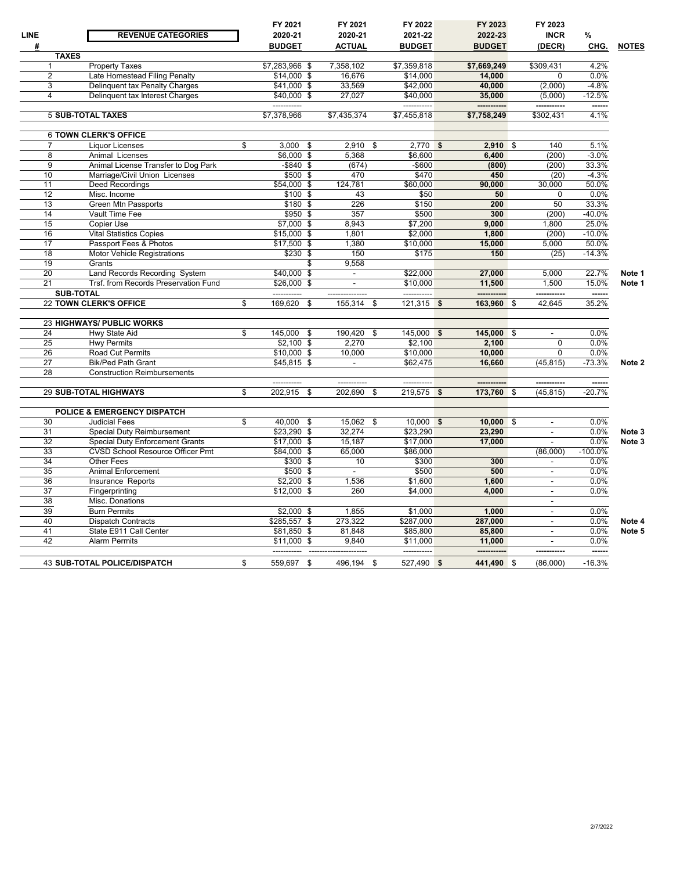| LINE            | <b>REVENUE CATEGORIES</b>               | FY 2021<br>2020-21         | FY 2021<br>2020-21     | FY 2022<br>2021-22      | FY 2023<br>2022-23    | FY 2023<br><b>INCR</b>   | %                  |              |
|-----------------|-----------------------------------------|----------------------------|------------------------|-------------------------|-----------------------|--------------------------|--------------------|--------------|
| #               |                                         | <b>BUDGET</b>              | <b>ACTUAL</b>          | <b>BUDGET</b>           | <b>BUDGET</b>         | (DECR)                   | CHG.               | <b>NOTES</b> |
| <b>TAXES</b>    |                                         |                            |                        |                         |                       |                          |                    |              |
|                 | <b>Property Taxes</b>                   | \$7,283,966 \$             | 7,358,102              | \$7,359,818             | \$7,669,249           | \$309,431                | 4.2%               |              |
| $\overline{2}$  | Late Homestead Filing Penalty           | \$14,000 \$                | 16.676                 | \$14,000                | 14,000                | 0                        | 0.0%               |              |
| 3               | Delinquent tax Penalty Charges          | \$41,000 \$                | 33,569                 | \$42,000                | 40,000                | (2,000)                  | $-4.8%$            |              |
| 4               | Delinquent tax Interest Charges         | \$40,000 \$<br>----------- | 27,027                 | \$40,000<br>----------- | 35,000<br>----------- | (5,000)<br>-----------   | $-12.5%$<br>------ |              |
|                 | <b>5 SUB-TOTAL TAXES</b>                | \$7.378.966                | \$7.435.374            | \$7.455.818             | \$7.758.249           | \$302.431                | 4.1%               |              |
|                 | <b>6 TOWN CLERK'S OFFICE</b>            |                            |                        |                         |                       |                          |                    |              |
| 7               | <b>Liquor Licenses</b>                  | \$<br>$3,000$ \$           | 2,910                  | $2,770$ \$<br>-\$       | $2,910$ \$            | 140                      | 5.1%               |              |
| 8               | Animal Licenses                         | \$6,000 \$                 | 5,368                  | \$6,600                 | 6,400                 | (200)                    | $-3.0%$            |              |
| $\overline{9}$  | Animal License Transfer to Dog Park     | $-$ \$840\$                | (674)                  | $-$ \$600               | (800)                 | (200)                    | 33.3%              |              |
| 10              | Marriage/Civil Union Licenses           | $$500$ \$                  | 470                    | \$470                   | 450                   | (20)                     | $-4.3%$            |              |
| 11              | <b>Deed Recordings</b>                  | $$54,000$ \$               | 124,781                | \$60,000                | 90,000                | 30,000                   | 50.0%              |              |
| $\overline{12}$ | Misc. Income                            | \$100 \$                   | 43                     | \$50                    | 50                    | $\Omega$                 | 0.0%               |              |
| 13              | <b>Green Mtn Passports</b>              | \$180 \$                   | 226                    | \$150                   | 200                   | 50                       | 33.3%              |              |
| 14              | Vault Time Fee                          | $$950$ \$                  | 357                    | \$500                   | 300                   | (200)                    | $-40.0%$           |              |
| 15              | Copier Use                              | \$7,000 \$                 | 8,943                  | \$7,200                 | 9,000                 | 1,800                    | 25.0%              |              |
| 16              | <b>Vital Statistics Copies</b>          | $$15,000$ \$               | 1,801                  | \$2,000                 | 1,800                 | (200)                    | $-10.0%$           |              |
| 17              | Passport Fees & Photos                  | $$17,500$ \$               | 1,380                  | \$10,000                | 15,000                | 5,000                    | 50.0%              |              |
| 18              | <b>Motor Vehicle Registrations</b>      | $$230$ \$                  | 150                    | \$175                   | 150                   | (25)                     | $-14.3%$           |              |
| 19              | Grants                                  | \$                         | 9,558                  |                         |                       |                          |                    |              |
| 20              | Land Records Recording System           | \$40,000 \$                |                        | \$22,000                | 27,000                | 5,000                    | 22.7%              | Note 1       |
| 21              | Trsf. from Records Preservation Fund    | \$26.000\$                 | $\ddot{\phantom{a}}$   | \$10.000                | 11.500                | 1.500                    | 15.0%              | Note 1       |
|                 | <b>SUB-TOTAL</b>                        | -----------                | ---------------        | -----------             | -----------           | -----------              | ------             |              |
|                 | 22 TOWN CLERK'S OFFICE                  | \$<br>169,620<br>\$        | 155,314                | $121,315$ \$<br>\$      | 163,960               | 42,645<br>-\$            | 35.2%              |              |
|                 |                                         |                            |                        |                         |                       |                          |                    |              |
|                 | 23 HIGHWAYS/ PUBLIC WORKS               |                            |                        |                         |                       |                          |                    |              |
| 24              | Hwy State Aid                           | \$<br>145,000<br>-\$       | 190,420                | 145,000 \$<br>\$        | 145,000 \$            | $\blacksquare$           | 0.0%               |              |
| 25              | <b>Hwy Permits</b>                      | $$2,100$ \$                | 2.270                  | \$2,100                 | 2,100                 | $\mathbf 0$              | 0.0%               |              |
| 26              | Road Cut Permits                        | \$10,000 \$                | 10,000                 | \$10,000                | 10,000                | $\mathbf 0$              | 0.0%               |              |
| 27              | <b>Bik/Ped Path Grant</b>               | $$45,815$ \$               |                        | \$62,475                | 16,660                | (45, 815)                | $-73.3%$           | Note 2       |
| $\overline{28}$ | <b>Construction Reimbursements</b>      |                            |                        |                         |                       |                          |                    |              |
|                 | 29 SUB-TOTAL HIGHWAYS                   | \$<br>202,915<br>\$        | 202,690                | $219,575$ \$<br>\$      | 173,760               | -\$<br>(45, 815)         | $-20.7%$           |              |
|                 |                                         |                            |                        |                         |                       |                          |                    |              |
|                 | POLICE & EMERGENCY DISPATCH             |                            |                        |                         |                       |                          |                    |              |
| 30              | <b>Judicial Fees</b>                    | \$<br>40.000<br>-\$        | 15.062                 | $10.000$ \$<br>\$       | $10,000$ \$           |                          | 0.0%               |              |
| 31              | Special Duty Reimbursement              | $$23,290$ \$               | 32,274                 | \$23,290                | 23,290                | $\blacksquare$           | 0.0%               | Note 3       |
| 32              | <b>Special Duty Enforcement Grants</b>  | \$17,000 \$                | 15,187                 | \$17,000                | 17,000                | $\overline{\phantom{a}}$ | 0.0%               | Note 3       |
| 33              | <b>CVSD School Resource Officer Pmt</b> | \$84,000 \$                | 65,000                 | \$86,000                |                       | (86,000)                 | $-100.0%$          |              |
| 34              | Other Fees                              | \$300 \$                   | 10                     | \$300                   | 300                   | $\blacksquare$           | 0.0%               |              |
| 35              | <b>Animal Enforcement</b>               | \$500 \$                   | $\blacksquare$         | \$500                   | 500                   | $\overline{\phantom{a}}$ | 0.0%               |              |
| $\overline{36}$ | Insurance Reports                       | $$2,200$ \$                | 1,536                  | \$1,600                 | 1,600                 | $\blacksquare$           | 0.0%               |              |
| 37              | Fingerprinting                          | $$12,000$ \$               | 260                    | \$4,000                 | 4,000                 | $\sim$                   | 0.0%               |              |
| 38              | Misc. Donations                         |                            |                        |                         |                       | $\blacksquare$           |                    |              |
| 39              | <b>Burn Permits</b>                     | $\overline{$2,000}$$ \$    | 1,855                  | \$1.000                 | 1.000                 | $\sim$                   | 0.0%               |              |
| 40              | Dispatch Contracts                      | \$285,557 \$               | 273,322                | \$287,000               | 287,000               | $\blacksquare$           | 0.0%               | Note 4       |
| 41              | State E911 Call Center                  | \$81,850 \$                | 81,848                 | \$85,800                | 85,800                | $\blacksquare$           | 0.0%               | Note 5       |
| 42              | <b>Alarm Permits</b>                    | \$11.000S                  | 9.840                  | \$11.000                | 11.000                | $\sim$                   | 0.0%               |              |
|                 |                                         | ------------               | ---------------------- | -----------             | -----------           | ------------             | ------             |              |
|                 | <b>43 SUB-TOTAL POLICE/DISPATCH</b>     | \$<br>559,697 \$           | 496,194 \$             | 527,490 \$              | 441,490 \$            | (86,000)                 | $-16.3%$           |              |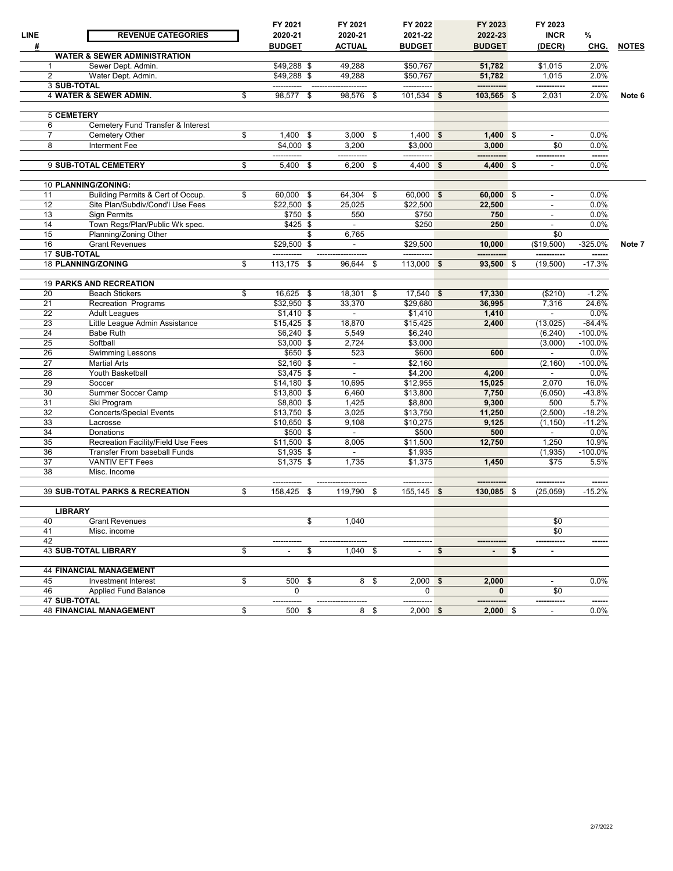| <b>LINE</b> | <b>REVENUE CATEGORIES</b>               | FY 2021<br>2020-21 | FY 2021<br>2020-21 |      | FY 2022<br>2021-22 | FY 2023<br>2022-23 | FY 2023<br><b>INCR</b>   | %         |              |
|-------------|-----------------------------------------|--------------------|--------------------|------|--------------------|--------------------|--------------------------|-----------|--------------|
| #           |                                         | <b>BUDGET</b>      | <b>ACTUAL</b>      |      | <b>BUDGET</b>      | <b>BUDGET</b>      | (DECR)                   | CHG.      | <b>NOTES</b> |
|             | <b>WATER &amp; SEWER ADMINISTRATION</b> |                    |                    |      |                    |                    |                          |           |              |
| 1           | Sewer Dept. Admin.                      | $$49,288$ \$       | 49,288             |      | \$50,767           | 51,782             | \$1,015                  | 2.0%      |              |
| 2           | Water Dept. Admin.                      | $$49,288$ \$       | 49,288             |      | \$50,767           | 51,782             | 1,015                    | 2.0%      |              |
|             | <b>3 SUB-TOTAL</b>                      |                    |                    |      | -----------        | -----------        |                          | ------    |              |
|             | 4 WATER & SEWER ADMIN.                  | \$<br>98,577       | \$<br>98,576       | - \$ | $101,534$ \$       | 103,565 \$         | 2,031                    | 2.0%      | Note 6       |
|             |                                         |                    |                    |      |                    |                    |                          |           |              |
|             | <b>5 CEMETERY</b>                       |                    |                    |      |                    |                    |                          |           |              |
| 6           | Cemetery Fund Transfer & Interest       |                    |                    |      |                    |                    |                          |           |              |
|             | Cemetery Other                          | \$<br>$1,400$ \$   | $3,000$ \$         |      | $1,400$ \$         | $1.400$ \$         |                          | $0.0\%$   |              |
| 8           | Interment Fee                           | \$4.000 \$         | 3,200              |      | \$3.000            | 3,000              | \$0                      | 0.0%      |              |
|             |                                         |                    | -----------        |      | -----------        |                    | -----------              | ------    |              |
|             | 9 SUB-TOTAL CEMETERY                    | \$<br>5,400 \$     | 6,200              | - \$ | $4,400$ \$         | 4,400 \$           | $\blacksquare$           | 0.0%      |              |
|             |                                         |                    |                    |      |                    |                    |                          |           |              |
|             | 10 PLANNING/ZONING:                     |                    |                    |      |                    |                    |                          |           |              |
| 11          | Building Permits & Cert of Occup.       | \$<br>60,000 \$    | 64,304             | -\$  | 60,000 \$          | 60,000 \$          |                          | 0.0%      |              |
| 12          | Site Plan/Subdiv/Cond'l Use Fees        | $$22,500$ \$       | 25,025             |      | \$22,500           | 22,500             | $\blacksquare$           | 0.0%      |              |
| 13          | <b>Sign Permits</b>                     | \$750 \$           | 550                |      | \$750              | 750                |                          | 0.0%      |              |
| 14          | Town Regs/Plan/Public Wk spec.          | \$425 \$           | $\sim$             |      | \$250              | 250                | $\blacksquare$           | 0.0%      |              |
| 15          | Planning/Zoning Other                   |                    | \$<br>6,765        |      |                    |                    | \$0                      |           |              |
| 16          | <b>Grant Revenues</b>                   | \$29,500 \$        | $\sim$             |      | \$29,500           | 10,000             | (\$19.500)               | $-325.0%$ | Note 7       |
|             | 17 SUB-TOTAL                            |                    |                    |      | -----------        |                    | -----------              | ------    |              |
|             | 18 PLANNING/ZONING                      | \$<br>$113,175$ \$ | 96,644             | - \$ | $113,000$ \$       | 93,500 \$          | (19, 500)                | $-17.3%$  |              |
|             |                                         |                    |                    |      |                    |                    |                          |           |              |
|             | <b>19 PARKS AND RECREATION</b>          |                    |                    |      |                    |                    |                          |           |              |
| 20          | <b>Beach Stickers</b>                   | \$<br>$16.625$ \$  | 18,301             | \$   | $17,540$ \$        | 17,330             | (\$210)                  | $-1.2%$   |              |
| 21          | Recreation Programs                     | $$32,950$ \$       | 33,370             |      | \$29,680           | 36,995             | 7,316                    | 24.6%     |              |
| 22          | <b>Adult Leagues</b>                    | $$1,410$ \$        | $\sim$             |      | \$1,410            | 1,410              | $\sim$                   | 0.0%      |              |
| 23          | Little League Admin Assistance          | $$15,425$ \$       | 18,870             |      | \$15,425           | 2,400              | (13, 025)                | $-84.4%$  |              |
| 24          | <b>Babe Ruth</b>                        | $$6,240$ \$        | 5,549              |      | \$6,240            |                    | (6, 240)                 | $-100.0%$ |              |
| 25          | Softball                                | $$3,000$ \$        | 2,724              |      | \$3,000            |                    | (3,000)                  | $-100.0%$ |              |
| 26          | <b>Swimming Lessons</b>                 | $$650$ \$          | 523                |      | \$600              | 600                | $\sim$                   | 0.0%      |              |
| 27          | <b>Martial Arts</b>                     | $$2,160$ \$        | $\sim$             |      | \$2,160            |                    | (2, 160)                 | $-100.0%$ |              |
| 28          | Youth Basketball                        | $$3,475$ \$        |                    |      | \$4,200            | 4,200              | $\sim$                   | 0.0%      |              |
| 29          | Soccer                                  | $$14,180$ \$       | 10,695             |      | \$12,955           | 15,025             | 2,070                    | 16.0%     |              |
| 30          | Summer Soccer Camp                      | $$13,800$ \$       | 6,460              |      | \$13,800           | 7,750              | (6,050)                  | $-43.8%$  |              |
| 31          | Ski Program                             | $$8,800$ \$        | 1,425              |      | \$8,800            | 9,300              | 500                      | 5.7%      |              |
| 32          | <b>Concerts/Special Events</b>          | $$13,750$ \$       | 3,025              |      | \$13,750           | 11,250             | (2,500)                  | $-18.2%$  |              |
| 33          | Lacrosse                                | $$10,650$ \$       | 9,108              |      | \$10,275           | 9,125              | (1, 150)                 | $-11.2%$  |              |
| 34          | Donations                               | $$500$ \$          | $\sim$             |      | \$500              | 500                | $\sim$                   | 0.0%      |              |
| 35          | Recreation Facility/Field Use Fees      | $$11,500$ \$       | 8,005              |      | \$11,500           | 12,750             | 1,250                    | 10.9%     |              |
| 36          | <b>Transfer From baseball Funds</b>     | $$1,935$ \$        | $\sim$             |      | \$1,935            |                    | (1,935)                  | $-100.0%$ |              |
| 37          | <b>VANTIV EFT Fees</b>                  | $$1,375$ \$        | 1,735              |      | \$1,375            | 1,450              | \$75                     | 5.5%      |              |
| 38          | Misc. Income                            |                    |                    |      |                    |                    |                          |           |              |
|             |                                         | -----------        |                    |      | -----------        |                    |                          | ------    |              |
|             | 39 SUB-TOTAL PARKS & RECREATION         | \$<br>158,425 \$   | 119,790            | \$   | $155, 145$ \$      | 130,085 \$         | (25,059)                 | $-15.2%$  |              |
|             |                                         |                    |                    |      |                    |                    |                          |           |              |
|             | <b>LIBRARY</b>                          |                    |                    |      |                    |                    |                          |           |              |
| 40          | <b>Grant Revenues</b>                   |                    | \$<br>1,040        |      |                    |                    | \$0                      |           |              |
| 41          | Misc. income                            |                    |                    |      |                    |                    | \$0                      |           |              |
| 42          |                                         |                    |                    |      |                    |                    | -----------              | -----     |              |
|             | <b>43 SUB-TOTAL LIBRARY</b>             | \$                 | \$<br>$1,040$ \$   |      | $\blacksquare$     | \$                 | \$<br>$\sim$             |           |              |
|             |                                         |                    |                    |      |                    |                    |                          |           |              |
|             | <b>44 FINANCIAL MANAGEMENT</b>          |                    |                    |      |                    |                    |                          |           |              |
| 45          | Investment Interest                     | \$<br>500 \$       |                    | 8 \$ | $2,000$ \$         | 2,000              | $\sim$                   | 0.0%      |              |
| 46          | Applied Fund Balance                    | 0                  |                    |      | 0                  | $\mathbf{0}$       | \$0                      |           |              |
|             | 47 SUB-TOTAL                            | -----------        |                    |      | -----------        | -----------        | -----------              | ------    |              |
|             | <b>48 FINANCIAL MANAGEMENT</b>          | \$<br>500 \$       |                    | 8 \$ | $2,000$ \$         | $2,000$ \$         | $\overline{\phantom{a}}$ | 0.0%      |              |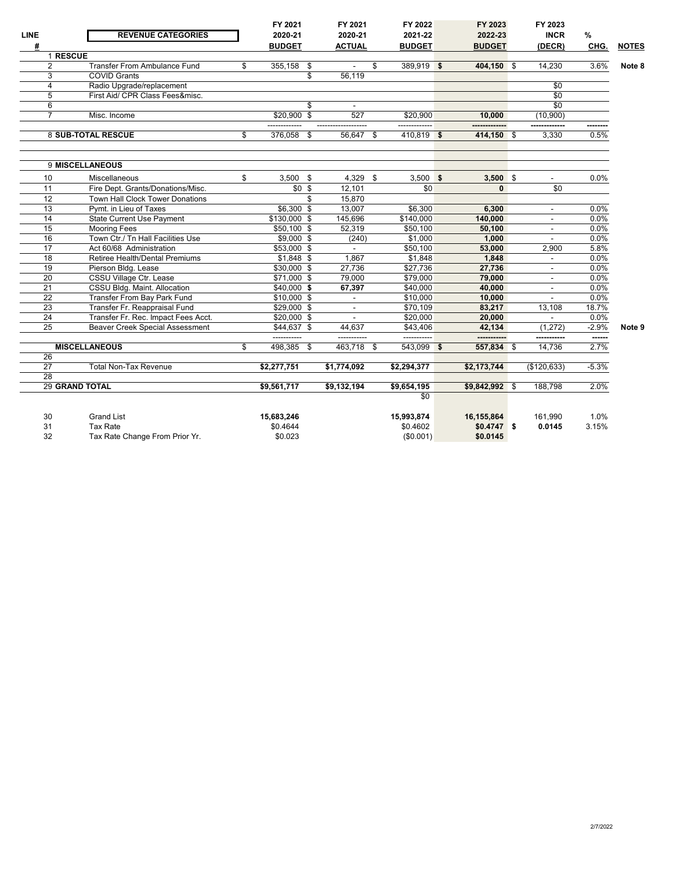| <b>LINE</b><br># | <b>REVENUE CATEGORIES</b>              | FY 2021<br>2020-21<br><b>BUDGET</b> | FY 2021<br>2020-21<br><b>ACTUAL</b> | FY 2022<br>2021-22<br><b>BUDGET</b> | FY 2023<br>2022-23<br><b>BUDGET</b> |     | FY 2023<br><b>INCR</b><br>(DECR) | %<br>CHG. | <b>NOTES</b> |
|------------------|----------------------------------------|-------------------------------------|-------------------------------------|-------------------------------------|-------------------------------------|-----|----------------------------------|-----------|--------------|
|                  | 1 RESCUE                               |                                     |                                     |                                     |                                     |     |                                  |           |              |
| $\overline{2}$   | <b>Transfer From Ambulance Fund</b>    | \$<br>355,158 \$                    | $\sim$                              | \$<br>389,919 \$                    | 404,150 \$                          |     | 14,230                           | 3.6%      | Note 8       |
| $\overline{3}$   | <b>COVID Grants</b>                    |                                     | \$<br>56.119                        |                                     |                                     |     |                                  |           |              |
| 4                | Radio Upgrade/replacement              |                                     |                                     |                                     |                                     |     | $\overline{30}$                  |           |              |
| 5                | First Aid/ CPR Class Fees&misc.        |                                     |                                     |                                     |                                     |     | $\overline{30}$                  |           |              |
| 6                |                                        |                                     | \$<br>$\sim$                        |                                     |                                     |     | \$0                              |           |              |
| $\overline{7}$   | Misc. Income                           | $$20,900$ \$                        | 527                                 | \$20,900                            | 10,000                              |     | (10,900)                         |           |              |
|                  | <b>8 SUB-TOTAL RESCUE</b>              | \$<br>376,058 \$                    | 56,647 \$                           | 410,819 \$                          | 414,150 \$                          |     | 3,330                            | 0.5%      |              |
|                  |                                        |                                     |                                     |                                     |                                     |     |                                  |           |              |
|                  | 9 MISCELLANEOUS                        |                                     |                                     |                                     |                                     |     |                                  |           |              |
| 10               | <b>Miscellaneous</b>                   | \$<br>$3,500$ \$                    | 4,329 \$                            | $3,500$ \$                          | $3,500$ \$                          |     |                                  | 0.0%      |              |
| 11               | Fire Dept. Grants/Donations/Misc.      | $$0$ \$                             | 12,101                              | \$0                                 | $\mathbf{0}$                        |     | \$0                              |           |              |
| 12               | <b>Town Hall Clock Tower Donations</b> |                                     | \$<br>15,870                        |                                     |                                     |     |                                  |           |              |
| 13               | Pymt. in Lieu of Taxes                 | \$6,300 \$                          | 13,007                              | \$6,300                             | 6.300                               |     | $\blacksquare$                   | 0.0%      |              |
| 14               | <b>State Current Use Payment</b>       | $$130,000$ \$                       | 145,696                             | \$140.000                           | 140,000                             |     |                                  | 0.0%      |              |
| 15               | <b>Mooring Fees</b>                    | $$50,100$ \$                        | 52,319                              | \$50,100                            | 50,100                              |     | $\blacksquare$                   | 0.0%      |              |
| 16               | Town Ctr./ Tn Hall Facilities Use      | $$9,000$ \$                         | (240)                               | \$1,000                             | 1,000                               |     |                                  | 0.0%      |              |
| 17               | Act 60/68 Administration               | \$53,000 \$                         | $\overline{\phantom{a}}$            | \$50,100                            | 53,000                              |     | 2,900                            | 5.8%      |              |
| $\overline{18}$  | Retiree Health/Dental Premiums         | $$1.848$ \$                         | 1.867                               | \$1.848                             | 1.848                               |     |                                  | 0.0%      |              |
| 19               | Pierson Bldg. Lease                    | $$30,000$ \$                        | 27,736                              | \$27,736                            | 27,736                              |     | $\overline{\phantom{a}}$         | 0.0%      |              |
| 20               | CSSU Village Ctr. Lease                | $$71,000$ \$                        | 79,000                              | \$79,000                            | 79,000                              |     |                                  | 0.0%      |              |
| 21               | CSSU Bldg. Maint. Allocation           | $$40,000$ \$                        | 67,397                              | \$40,000                            | 40,000                              |     |                                  | 0.0%      |              |
| $\overline{22}$  | Transfer From Bay Park Fund            | $$10,000$ \$                        | $\blacksquare$                      | \$10.000                            | 10.000                              |     |                                  | 0.0%      |              |
| $\overline{23}$  | Transfer Fr. Reappraisal Fund          | $$29,000$ \$                        | $\overline{\phantom{a}}$            | \$70,109                            | 83,217                              |     | 13,108                           | 18.7%     |              |
| $\overline{24}$  | Transfer Fr. Rec. Impact Fees Acct.    | \$20,000 \$                         | $\sim$                              | \$20,000                            | 20,000                              |     |                                  | 0.0%      |              |
| 25               | <b>Beaver Creek Special Assessment</b> | $$44,637$ \$                        | 44,637                              | \$43,406                            | 42.134                              |     | (1,272)                          | $-2.9%$   | Note 9       |
|                  |                                        |                                     |                                     | ------------                        |                                     |     |                                  | ------    |              |
|                  | <b>MISCELLANEOUS</b>                   | \$<br>498,385 \$                    | 463,718 \$                          | 543,099 \$                          | 557,834                             | -\$ | 14,736                           | 2.7%      |              |
| 26               |                                        |                                     |                                     |                                     |                                     |     |                                  |           |              |
| 27               | <b>Total Non-Tax Revenue</b>           | \$2,277,751                         | \$1,774,092                         | \$2,294,377                         | \$2,173,744                         |     | (\$120,633)                      | $-5.3%$   |              |
| 28               |                                        |                                     |                                     |                                     |                                     |     |                                  |           |              |
|                  | <b>29 GRAND TOTAL</b>                  | \$9,561,717                         | \$9,132,194                         | \$9,654,195                         | \$9,842,992 \$                      |     | 188,798                          | 2.0%      |              |
|                  |                                        |                                     |                                     | \$0                                 |                                     |     |                                  |           |              |
| 30               | <b>Grand List</b>                      | 15,683,246                          |                                     | 15,993,874                          | 16,155,864                          |     | 161,990                          | 1.0%      |              |
| 31               | <b>Tax Rate</b>                        | \$0.4644                            |                                     | \$0.4602                            | $$0.4747$ \$                        |     | 0.0145                           | 3.15%     |              |
| 32               | Tax Rate Change From Prior Yr.         | \$0.023                             |                                     | (\$0.001)                           | \$0.0145                            |     |                                  |           |              |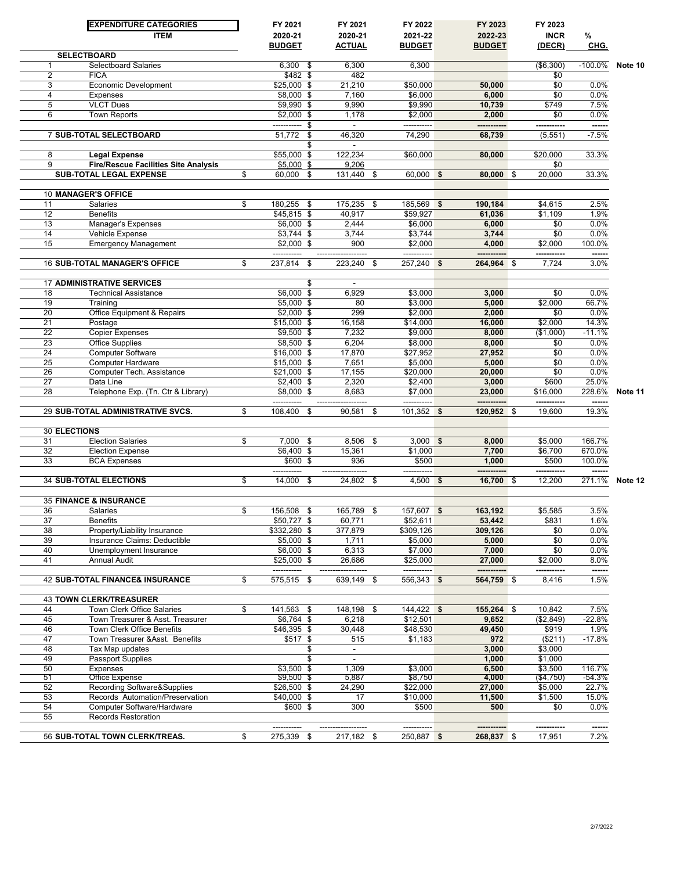|                 | <b>EXPENDITURE CATEGORIES</b><br><b>ITEM</b>                           | FY 2021<br>2020-21          |    | FY 2021<br>2020-21       |     | FY 2022<br>2021-22   |            | FY 2023<br>2022-23 | FY 2023<br><b>INCR</b> | $\%$            |         |
|-----------------|------------------------------------------------------------------------|-----------------------------|----|--------------------------|-----|----------------------|------------|--------------------|------------------------|-----------------|---------|
|                 |                                                                        | <b>BUDGET</b>               |    | <b>ACTUAL</b>            |     | <b>BUDGET</b>        |            | <b>BUDGET</b>      | (DECR)                 | CHG.            |         |
| 1               | <b>SELECTBOARD</b><br>Selectboard Salaries                             | $6,300$ \$                  |    | 6,300                    |     | 6,300                |            |                    | ( \$6,300)             | $-100.0\%$      | Note 10 |
| 2               | <b>FICA</b>                                                            | $$482$ \$                   |    | 482                      |     |                      |            |                    | \$0                    |                 |         |
| 3               | <b>Economic Development</b>                                            | \$25,000 \$                 |    | 21,210                   |     | \$50,000             |            | 50,000             | \$0                    | 0.0%            |         |
| 4               | Expenses                                                               | \$8,000 \$                  |    | 7,160                    |     | \$6,000              |            | 6,000              | \$0                    | 0.0%            |         |
| 5               | <b>VLCT Dues</b>                                                       | \$9,990 \$                  |    | 9,990                    |     | \$9,990              |            | 10,739             | \$749                  | 7.5%            |         |
| 6               | Town Reports                                                           | $$2,000$ \$                 |    | 1,178                    |     | \$2,000              |            | 2,000              | \$0                    | 0.0%            |         |
|                 |                                                                        | ----------- \$              |    | $\blacksquare$           |     |                      |            |                    | -----------            | ------          |         |
|                 | 7 SUB-TOTAL SELECTBOARD                                                | 51,772                      | \$ | 46,320                   |     | 74,290               |            | 68,739             | (5, 551)               | $-7.5%$         |         |
|                 |                                                                        |                             | S  |                          |     |                      |            |                    |                        |                 |         |
| 8               | <b>Legal Expense</b>                                                   | \$55,000 \$                 |    | 122,234                  |     | \$60,000             |            | 80,000             | \$20,000               | 33.3%           |         |
| 9               | <b>Fire/Rescue Facilities Site Analysis</b><br>SUB-TOTAL LEGAL EXPENSE | $$5,000$ \$                 |    | 9,206                    |     | 60,000 \$            |            | 80,000 \$          | \$0<br>20,000          | 33.3%           |         |
|                 |                                                                        | \$<br>60,000 \$             |    | 131,440 \$               |     |                      |            |                    |                        |                 |         |
|                 | 10 MANAGER'S OFFICE                                                    |                             |    |                          |     |                      |            |                    |                        |                 |         |
| 11              | Salaries                                                               | \$<br>180,255 \$            |    | 175,235 \$               |     | 185,569 \$           |            | 190,184            | \$4,615                | 2.5%            |         |
| 12              | <b>Benefits</b>                                                        | $$45,815$ \$                |    | 40,917                   |     | \$59,927             |            | 61,036             | \$1,109                | 1.9%            |         |
| 13              | Manager's Expenses                                                     | \$6,000 \$                  |    | 2,444                    |     | \$6,000              |            | 6,000              | \$0                    | 0.0%            |         |
| 14              | Vehicle Expense                                                        | $$3,744$ \$                 |    | 3,744                    |     | \$3,744              |            | 3,744              | \$0                    | 0.0%            |         |
| 15              | <b>Emergency Management</b>                                            | $$2,000$ \$                 |    | 900                      |     | \$2,000              |            | 4,000              | \$2,000                | 100.0%          |         |
|                 |                                                                        |                             |    |                          |     |                      |            |                    | ------------           | ------          |         |
|                 | <b>16 SUB-TOTAL MANAGER'S OFFICE</b>                                   | \$<br>237,814               | \$ | 223,240                  | -\$ | $257,240$ \$         |            | 264,964 \$         | 7,724                  | 3.0%            |         |
|                 |                                                                        |                             |    |                          |     |                      |            |                    |                        |                 |         |
|                 | <b>17 ADMINISTRATIVE SERVICES</b>                                      |                             | \$ | $\blacksquare$           |     |                      |            |                    |                        |                 |         |
| 18              | <b>Technical Assistance</b>                                            | $$6,000$ \$                 |    | 6,929                    |     | \$3,000              |            | 3,000              | \$0                    | 0.0%            |         |
| 19              | Training                                                               | \$5,000 \$                  |    | 80                       |     | \$3,000              |            | 5,000              | \$2,000                | 66.7%           |         |
| 20              | Office Equipment & Repairs                                             | $$2,000$ \$                 |    | 299                      |     | \$2,000              |            | 2,000              | \$0                    | 0.0%            |         |
| 21              | Postage                                                                | $$15,000$ \$                |    | 16,158                   |     | \$14,000             |            | 16,000             | \$2,000                | 14.3%           |         |
| 22              | <b>Copier Expenses</b>                                                 | $$9,500$ \$                 |    | 7,232                    |     | \$9,000              |            | 8,000              | (\$1,000)              | $-11.1%$        |         |
| 23              | <b>Office Supplies</b>                                                 | \$8,500 \$                  |    | 6,204                    |     | \$8,000              |            | 8,000              | \$0                    | 0.0%            |         |
| 24<br>25        | Computer Software                                                      | \$16,000 \$                 |    | 17,870                   |     | \$27,952             |            | 27,952             | \$0<br>\$0             | 0.0%<br>0.0%    |         |
| 26              | Computer Hardware<br>Computer Tech. Assistance                         | $$15,000$ \$<br>\$21,000 \$ |    | 7,651<br>17,155          |     | \$5,000<br>\$20,000  |            | 5,000<br>20,000    | \$0                    | 0.0%            |         |
| $\overline{27}$ | Data Line                                                              | $$2,400$ \$                 |    | 2,320                    |     | \$2,400              |            | 3,000              | \$600                  | 25.0%           |         |
| 28              | Telephone Exp. (Tn. Ctr & Library)                                     | \$8,000 \$                  |    | 8,683                    |     | \$7,000              |            | 23,000             | \$16,000               | 228.6%          | Note 11 |
|                 | 29 SUB-TOTAL ADMINISTRATIVE SVCS.                                      | \$<br>108,400               | \$ | 90,581                   | \$  | 101,352              | $\sqrt{5}$ | 120,952            | \$<br>19,600           | 19.3%           |         |
|                 |                                                                        |                             |    |                          |     |                      |            |                    |                        |                 |         |
| 31              | <b>30 ELECTIONS</b><br><b>Election Salaries</b>                        | \$<br>7,000                 | \$ | 8,506 \$                 |     | $3,000$ \$           |            | 8,000              | \$5,000                | 166.7%          |         |
| 32              | <b>Election Expense</b>                                                | \$6,400 \$                  |    | 15,361                   |     | \$1,000              |            | 7,700              | \$6,700                | 670.0%          |         |
| 33              | <b>BCA Expenses</b>                                                    | \$600 \$                    |    | 936                      |     | \$500                |            | 1,000              | \$500                  | 100.0%          |         |
|                 |                                                                        |                             |    |                          |     |                      |            |                    | ------------           |                 |         |
|                 | <b>34 SUB-TOTAL ELECTIONS</b>                                          | \$<br>14,000                | \$ | 24,802 \$                |     | 4,500                | - \$       | 16,700 \$          | 12,200                 | 271.1%          | Note 12 |
|                 | <b>35 FINANCE &amp; INSURANCE</b>                                      |                             |    |                          |     |                      |            |                    |                        |                 |         |
| 36              | Salaries                                                               | 156,508 \$                  |    | 165,789 \$               |     | 157,607 \$           |            | 163,192            | \$5,585                | 3.5%            |         |
| 37              | <b>Benefits</b>                                                        | \$50,727 \$                 |    | 60,771                   |     | \$52,611             |            | 53,442             | \$831                  | 1.6%            |         |
| 38              | Property/Liability Insurance                                           | \$332,280 \$                |    | 377,879                  |     | \$309,126            |            | 309,126            | \$0                    | 0.0%            |         |
| 39              | Insurance Claims: Deductible                                           | \$5,000 \$                  |    | 1,711                    |     | \$5,000              |            | 5,000              | \$0                    | 0.0%            |         |
| 40              | Unemployment Insurance                                                 | $$6,000$ \$                 |    | 6,313                    |     | \$7,000              |            | 7,000              | \$0                    | 0.0%            |         |
| 41              | <b>Annual Audit</b>                                                    | \$25,000 \$                 |    | 26,686                   |     | \$25,000             |            | 27,000             | \$2,000                | 8.0%            |         |
|                 |                                                                        | -----------                 |    |                          |     | -----------          |            | -----------        | -----------            | ------          |         |
|                 | <b>42 SUB-TOTAL FINANCE&amp; INSURANCE</b>                             | \$<br>$575,515$ \$          |    | 639,149 \$               |     | 556,343 \$           |            | 564,759 \$         | 8,416                  | 1.5%            |         |
|                 | <b>43 TOWN CLERK/TREASURER</b>                                         |                             |    |                          |     |                      |            |                    |                        |                 |         |
| 44              | <b>Town Clerk Office Salaries</b>                                      | \$<br>141,563 \$            |    | 148,198 \$               |     | $144,422$ \$         |            | 155,264 \$         | 10,842                 | 7.5%            |         |
| 45              | Town Treasurer & Asst. Treasurer                                       | \$6,764 \$                  |    | 6,218                    |     | \$12,501             |            | 9,652              | (\$2,849)              | $-22.8%$        |         |
| 46              | Town Clerk Office Benefits                                             | \$46,395 \$                 |    | 30,448                   |     | \$48,530             |            | 49,450             | \$919                  | 1.9%            |         |
| 47              | Town Treasurer & Asst. Benefits                                        | $$517$ \$                   |    | 515                      |     | \$1,183              |            | 972                | (\$211)                | $-17.8%$        |         |
| 48              | Tax Map updates                                                        |                             | \$ | $\overline{\phantom{a}}$ |     |                      |            | 3,000              | \$3,000                |                 |         |
| 49              | <b>Passport Supplies</b>                                               |                             | \$ | $\blacksquare$           |     |                      |            | 1,000              | \$1,000                |                 |         |
| 50              | Expenses                                                               | $$3,500$ \$                 |    | 1,309                    |     | \$3,000              |            | 6,500              | \$3,500                | 116.7%          |         |
| 51              | Office Expense                                                         | $$9,500$ \$                 |    | 5,887                    |     | \$8,750              |            | 4,000              | ( \$4,750)             | -54.3%<br>22.7% |         |
| 52<br>53        | Recording Software&Supplies<br>Records Automation/Preservation         | \$26,500\$<br>\$40,000 \$   |    | 24,290<br>17             |     | \$22,000<br>\$10,000 |            | 27,000<br>11,500   | \$5,000<br>\$1,500     | 15.0%           |         |
| 54              | Computer Software/Hardware                                             | \$600 \$                    |    | 300                      |     | \$500                |            | 500                | \$0                    | 0.0%            |         |
| 55              | <b>Records Restoration</b>                                             |                             |    |                          |     |                      |            |                    |                        |                 |         |
|                 |                                                                        | -----------                 |    | ------------------       |     | ------------         |            | -----------        | -----------            | ------          |         |
|                 | 56 SUB-TOTAL TOWN CLERK/TREAS.                                         | \$<br>$275,339$ \$          |    | 217,182 \$               |     | 250,887 \$           |            | 268,837 \$         | 17,951                 | 7.2%            |         |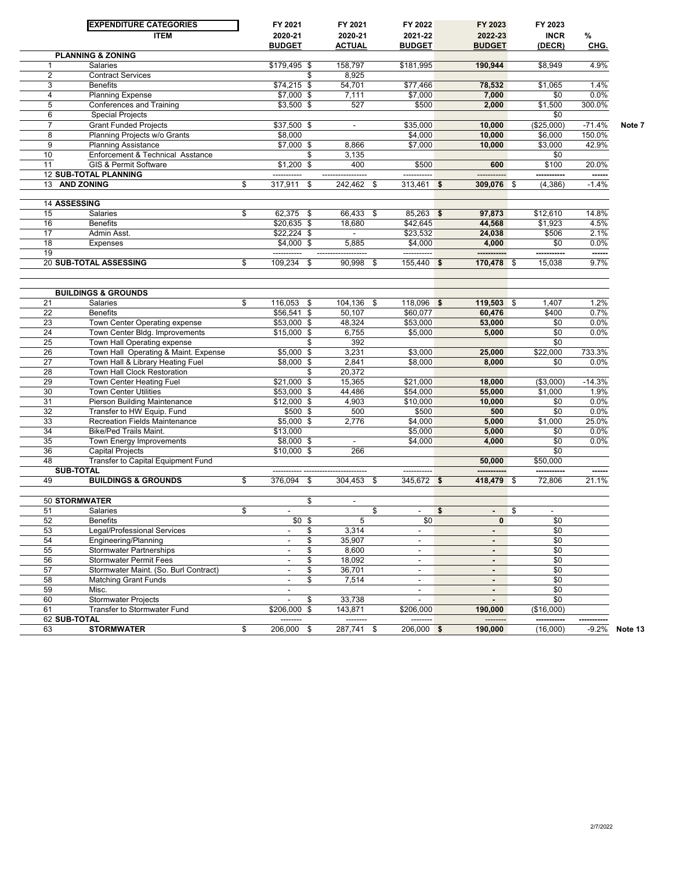|                     | <b>EXPENDITURE CATEGORIES</b>                              | FY 2021                    | FY 2021                        | FY 2022                  |     | FY 2023          |      | FY 2023            |              |         |
|---------------------|------------------------------------------------------------|----------------------------|--------------------------------|--------------------------|-----|------------------|------|--------------------|--------------|---------|
|                     | <b>ITEM</b>                                                | 2020-21                    | 2020-21                        | 2021-22                  |     | 2022-23          |      | <b>INCR</b>        | $\%$         |         |
|                     |                                                            | <b>BUDGET</b>              | <b>ACTUAL</b>                  | <b>BUDGET</b>            |     | <b>BUDGET</b>    |      | (DECR)             | CHG.         |         |
|                     | <b>PLANNING &amp; ZONING</b>                               |                            |                                |                          |     |                  |      |                    |              |         |
|                     | <b>Salaries</b>                                            | \$179,495 \$               | 158,797                        | \$181,995                |     | 190,944          |      | \$8,949            | 4.9%         |         |
| $\overline{2}$      | <b>Contract Services</b>                                   |                            | \$<br>8,925                    |                          |     |                  |      |                    |              |         |
| 3                   | <b>Benefits</b>                                            | $$74,215$ \$               | 54,701                         | \$77,466                 |     | 78,532           |      | \$1,065            | 1.4%         |         |
| 4                   | <b>Planning Expense</b>                                    | $$7,000$ \$                | 7,111                          | \$7,000                  |     | 7,000            |      | \$0                | 0.0%         |         |
| 5                   | Conferences and Training                                   | $$3,500$ \$                | 527                            | \$500                    |     | 2,000            |      | \$1,500            | 300.0%       |         |
| 6<br>7              | <b>Special Projects</b>                                    | $$37,500$ \$               | $\blacksquare$                 | \$35,000                 |     |                  |      | \$0<br>(\$25,000)  | $-71.4%$     |         |
| 8                   | <b>Grant Funded Projects</b>                               |                            |                                |                          |     | 10,000           |      |                    | 150.0%       | Note 7  |
| 9                   | Planning Projects w/o Grants<br><b>Planning Assistance</b> | \$8,000<br>\$7,000 \$      | 8,866                          | \$4,000<br>\$7,000       |     | 10,000<br>10,000 |      | \$6,000<br>\$3,000 | 42.9%        |         |
| 10                  | Enforcement & Technical Asstance                           |                            | \$<br>3,135                    |                          |     |                  |      | \$0                |              |         |
| 11                  | <b>GIS &amp; Permit Software</b>                           | $$1,200$ \$                | 400                            | \$500                    |     | 600              |      | \$100              | 20.0%        |         |
|                     | <b>12 SUB-TOTAL PLANNING</b>                               | -----------                |                                | -----------              |     |                  |      |                    |              |         |
|                     | 13 AND ZONING                                              | \$<br>317,911              | \$<br>242,462 \$               | $313,461$ \$             |     | 309,076 \$       |      | (4, 386)           | $-1.4%$      |         |
|                     |                                                            |                            |                                |                          |     |                  |      |                    |              |         |
| <b>14 ASSESSING</b> |                                                            |                            |                                |                          |     |                  |      |                    |              |         |
| 15                  | Salaries                                                   | \$<br>$62,375$ \$          | 66,433 \$                      | $85,263$ \$              |     | 97,873           |      | \$12,610           | 14.8%        |         |
| 16                  | <b>Benefits</b>                                            | $$20,635$ \$               | 18.680                         | \$42,645                 |     | 44,568           |      | \$1,923            | 4.5%         |         |
| 17                  | Admin Asst.                                                | $$22,224$ \$               |                                | \$23,532                 |     | 24,038           |      | \$506              | 2.1%         |         |
| 18                  | <b>Expenses</b>                                            | $$4,000$ \$                | 5,885                          | \$4,000                  |     | 4.000            |      | \$0                | 0.0%         |         |
| 19                  |                                                            | ------------               |                                | -----------              |     | -----------      |      | -----------        | ------       |         |
|                     | <b>20 SUB-TOTAL ASSESSING</b>                              | \$<br>109,234 \$           | 90,998                         | \$<br>155,440 \$         |     | 170,478 \$       |      | 15,038             | 9.7%         |         |
|                     |                                                            |                            |                                |                          |     |                  |      |                    |              |         |
|                     |                                                            |                            |                                |                          |     |                  |      |                    |              |         |
|                     | <b>BUILDINGS &amp; GROUNDS</b>                             |                            |                                |                          |     |                  |      |                    |              |         |
| 21                  | Salaries                                                   | \$<br>116,053 \$           | 104,136 \$                     | 118,096 \$<br>\$60.077   |     | 119,503 \$       |      | 1,407              | 1.2%         |         |
| 22<br>23            | <b>Benefits</b><br>Town Center Operating expense           | \$56,541 \$<br>\$53,000 \$ | 50,107<br>48,324               | \$53,000                 |     | 60,476<br>53,000 |      | \$400<br>\$0       | 0.7%<br>0.0% |         |
| 24                  | Town Center Bldg. Improvements                             | $$15,000$ \$               | 6,755                          | \$5,000                  |     | 5,000            |      | \$0                | 0.0%         |         |
| 25                  | Town Hall Operating expense                                |                            | \$<br>392                      |                          |     |                  |      | \$0                |              |         |
| 26                  | Town Hall Operating & Maint. Expense                       | $$5,000$ \$                | 3,231                          | \$3,000                  |     | 25,000           |      | \$22,000           | 733.3%       |         |
| 27                  | Town Hall & Library Heating Fuel                           | \$8,000 \$                 | 2,841                          | \$8,000                  |     | 8.000            |      | \$0                | 0.0%         |         |
| 28                  | Town Hall Clock Restoration                                |                            | \$<br>20,372                   |                          |     |                  |      |                    |              |         |
| 29                  | Town Center Heating Fuel                                   | $$21,000$ \$               | 15,365                         | \$21,000                 |     | 18,000           |      | (\$3,000)          | $-14.3%$     |         |
| 30                  | Town Center Utilities                                      | $$53,000$ \$               | 44,486                         | \$54,000                 |     | 55,000           |      | \$1,000            | 1.9%         |         |
| 31                  | Pierson Building Maintenance                               | $$12,000$ \$               | 4,903                          | \$10,000                 |     | 10,000           |      | \$0                | 0.0%         |         |
| 32                  | Transfer to HW Equip. Fund                                 | $$500$ \$                  | 500                            | \$500                    |     | 500              |      | \$0                | 0.0%         |         |
| 33                  | <b>Recreation Fields Maintenance</b>                       | \$5,000 \$                 | 2,776                          | \$4,000                  |     | 5,000            |      | \$1,000            | 25.0%        |         |
| 34                  | <b>Bike/Ped Trails Maint.</b>                              | \$13,000                   |                                | \$5,000                  |     | 5,000            |      | \$0                | 0.0%         |         |
| 35                  | Town Energy Improvements                                   | \$8,000 \$                 | $\blacksquare$                 | \$4,000                  |     | 4,000            |      | \$0                | 0.0%         |         |
| 36                  | <b>Capital Projects</b>                                    | \$10,000 \$                | 266                            |                          |     |                  |      | \$0                |              |         |
| 48                  | Transfer to Capital Equipment Fund                         |                            |                                |                          |     | 50,000           |      | \$50,000           |              |         |
|                     | <b>SUB-TOTAL</b>                                           |                            |                                | ----------               |     |                  |      |                    | ------       |         |
| 49                  | <b>BUILDINGS &amp; GROUNDS</b>                             | \$<br>376.094              | \$<br>304,453                  | \$<br>345,672 \$         |     | 418,479 \$       |      | 72,806             | 21.1%        |         |
|                     |                                                            |                            |                                |                          |     |                  |      |                    |              |         |
|                     | <b>50 STORMWATER</b>                                       |                            | \$<br>$\overline{\phantom{a}}$ |                          |     |                  |      |                    |              |         |
| 51                  | Salaries<br><b>Benefits</b>                                | \$                         | 5                              | \$                       | - 5 |                  | - \$ |                    |              |         |
| 52<br>53            | <b>Legal/Professional Services</b>                         | $$0$ \$                    | \$<br>3,314                    | \$0                      |     | $\mathbf{0}$     |      | \$0<br>\$0         |              |         |
| 54                  | Engineering/Planning                                       | $\blacksquare$             | \$<br>35,907                   | $\overline{\phantom{a}}$ |     | $\blacksquare$   |      | \$0                |              |         |
| 55                  | <b>Stormwater Partnerships</b>                             |                            | \$<br>8,600                    | $\overline{\phantom{a}}$ |     |                  |      | \$0                |              |         |
| 56                  | Stormwater Permit Fees                                     | $\blacksquare$             | \$<br>18.092                   | $\overline{\phantom{a}}$ |     | $\sim$           |      | \$0                |              |         |
| 57                  | Stormwater Maint. (So. Burl Contract)                      |                            | \$<br>36,701                   | $\blacksquare$           |     | $\sim$           |      | \$0                |              |         |
| 58                  | <b>Matching Grant Funds</b>                                | $\blacksquare$             | \$<br>7,514                    | $\blacksquare$           |     | $\sim$           |      | \$0                |              |         |
| 59                  | Misc.                                                      | $\overline{\phantom{a}}$   |                                | $\overline{\phantom{a}}$ |     | $\sim$           |      | \$0                |              |         |
| 60                  | <b>Stormwater Projects</b>                                 |                            | \$<br>33,738                   | $\overline{\phantom{a}}$ |     | $\sim$           |      | \$0                |              |         |
| 61                  | Transfer to Stormwater Fund                                | \$206,000 \$               | 143,871                        | \$206,000                |     | 190,000          |      | (\$16,000)         |              |         |
| 62 SUB-TOTAL        |                                                            |                            | --------                       | --------                 |     | --------         |      |                    |              |         |
| 63                  | <b>STORMWATER</b>                                          | \$<br>206,000 \$           | 287,741 \$                     | $206,000$ \$             |     | 190,000          |      | (16,000)           | $-9.2%$      | Note 13 |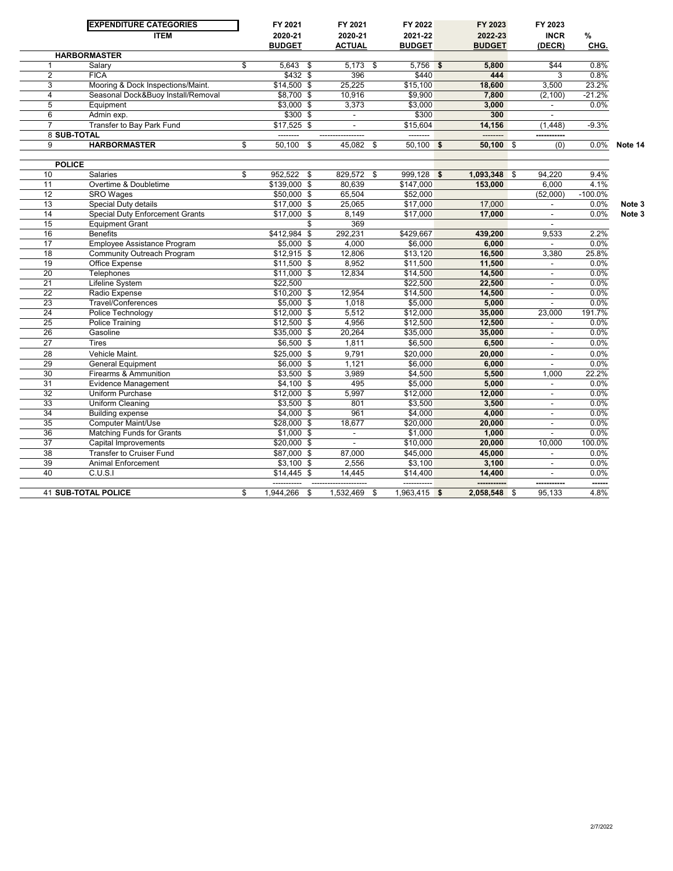|                         | <b>EXPENDITURE CATEGORIES</b><br><b>ITEM</b>      | FY 2021<br>2020-21<br><b>BUDGET</b> | FY 2021<br>2020-21<br><b>ACTUAL</b> | FY 2022<br>2021-22<br><b>BUDGET</b> | FY 2023<br>2022-23<br><b>BUDGET</b> | FY 2023<br><b>INCR</b><br>(DECR) | $\%$<br>CHG.   |         |
|-------------------------|---------------------------------------------------|-------------------------------------|-------------------------------------|-------------------------------------|-------------------------------------|----------------------------------|----------------|---------|
|                         | <b>HARBORMASTER</b>                               |                                     |                                     |                                     |                                     |                                  |                |         |
| 1                       | Salary                                            | \$<br>$5,643$ \$                    | $5,173$ \$                          | $5,756$ \$                          | 5,800                               | \$44                             | 0.8%           |         |
| $\overline{2}$          | <b>FICA</b>                                       | $$432$ \$                           | 396                                 | \$440                               | 444                                 | 3                                | 0.8%           |         |
| 3                       | Mooring & Dock Inspections/Maint.                 | $$14,500$ \$                        | 25,225                              | \$15,100                            | 18,600                              | 3,500                            | 23.2%          |         |
| $\overline{\mathbf{4}}$ | Seasonal Dock&Buoy Install/Removal                | \$8,700 \$                          | 10,916                              | \$9,900                             | 7,800                               | (2, 100)                         | $-21.2%$       |         |
| 5                       | Equipment                                         | $$3,000$ \$                         | 3,373                               | \$3,000                             | 3,000                               | $\blacksquare$                   | 0.0%           |         |
| $6\overline{6}$         | Admin exp.                                        | \$300 \$                            | $\blacksquare$                      | \$300                               | 300                                 |                                  |                |         |
|                         | Transfer to Bay Park Fund                         | $$17,525$ \$                        | $\blacksquare$                      | \$15,604                            | 14,156                              | (1, 448)                         | $-9.3%$        |         |
| 8 SUB-TOTAL             |                                                   |                                     |                                     | --------                            |                                     |                                  |                |         |
| 9                       | <b>HARBORMASTER</b>                               | \$<br>50,100<br>\$                  | 45,082 \$                           | $50,100$ \$                         | 50,100 \$                           | (0)                              | 0.0%           | Note 14 |
| <b>POLICE</b>           |                                                   |                                     |                                     |                                     |                                     |                                  |                |         |
| 10                      | <b>Salaries</b>                                   | \$<br>952,522 \$                    | 829,572 \$                          | $999,128$ \$                        | 1,093,348                           | \$<br>94,220                     | 9.4%           |         |
| 11                      | Overtime & Doubletime                             | \$139,000 \$                        | 80,639                              | \$147,000                           | 153,000                             | 6,000                            | 4.1%           |         |
| 12                      | <b>SRO Wages</b>                                  | $$50,000$ \$                        | 65,504                              | \$52,000                            |                                     | (52,000)                         | $-100.0%$      |         |
| 13                      | Special Duty details                              | $$17,000$ \$                        | 25,065                              | \$17,000                            | 17,000                              | $\sim$                           | 0.0%           | Note 3  |
| 14                      | <b>Special Duty Enforcement Grants</b>            | $$17,000$ \$                        | 8,149                               | \$17,000                            | 17,000                              | $\blacksquare$                   | 0.0%           | Note 3  |
| 15                      | <b>Equipment Grant</b>                            | \$                                  | 369                                 |                                     |                                     | $\sim$                           |                |         |
| 16                      | <b>Benefits</b>                                   | \$412.984 \$                        | 292,231                             | \$429.667                           | 439.200                             | 9.533                            | 2.2%           |         |
| 17                      | Employee Assistance Program                       | \$5,000 \$                          | 4.000                               | \$6,000                             | 6,000                               | $\overline{\phantom{a}}$         | 0.0%           |         |
| 18                      | <b>Community Outreach Program</b>                 | $$12,915$ \$                        | 12,806                              | \$13,120                            | 16,500                              | 3,380                            | 25.8%          |         |
| 19                      | Office Expense                                    | $$11,500$ \$                        | 8.952                               | \$11,500                            | 11,500                              | $\sim$                           | 0.0%           |         |
| 20                      | Telephones                                        | $$11,000$ \$                        | 12,834                              | \$14,500                            | 14,500                              | $\blacksquare$                   | 0.0%           |         |
| $\overline{21}$         | Lifeline System                                   | \$22,500                            |                                     | \$22,500                            | 22,500                              |                                  | 0.0%           |         |
| $\overline{22}$         | Radio Expense                                     | $$10,200$ \$                        | 12,954                              | \$14,500                            | 14,500                              | $\blacksquare$                   | 0.0%           |         |
| 23                      | Travel/Conferences                                | $$5,000$ \$                         | 1,018                               | \$5,000                             | 5,000                               |                                  | 0.0%           |         |
| 24                      | Police Technology                                 | $$12.000$ \$                        | 5,512                               | \$12,000                            | 35,000                              | 23.000                           | 191.7%         |         |
| 25                      | Police Training                                   | $$12,500$ \$                        | 4,956                               | \$12,500                            | 12,500                              |                                  | 0.0%           |         |
| 26                      | Gasoline                                          | \$35,000 \$                         | 20,264                              | \$35,000                            | 35,000                              | $\blacksquare$                   | 0.0%           |         |
| 27                      | Tires                                             | $$6,500$ \$                         | 1,811                               | \$6,500                             | 6,500                               |                                  | 0.0%           |         |
| 28                      | Vehicle Maint.                                    | \$25,000 \$                         | 9,791                               | \$20,000                            | 20,000                              | $\mathbf{r}$                     | 0.0%           |         |
| 29                      |                                                   | \$6,000 \$                          | 1,121                               | \$6,000                             | 6,000                               |                                  | 0.0%           |         |
| 30                      | <b>General Equipment</b><br>Firearms & Ammunition | $$3.500$ \$                         | 3,989                               | \$4,500                             | 5,500                               | 1,000                            | 22.2%          |         |
| 31                      | <b>Evidence Management</b>                        | $$4,100$ \$                         | 495                                 | \$5,000                             | 5,000                               |                                  | 0.0%           |         |
| 32                      | Uniform Purchase                                  |                                     | 5,997                               | \$12,000                            | 12,000                              |                                  | 0.0%           |         |
| 33                      | Uniform Cleaning                                  | $$12,000$ \$                        | 801                                 | \$3,500                             | 3,500                               |                                  | 0.0%           |         |
| 34                      |                                                   | $$3,500$ \$                         | 961                                 |                                     |                                     | $\blacksquare$                   |                |         |
|                         | <b>Building expense</b>                           | $$4,000$ \$                         |                                     | \$4,000                             | 4,000                               |                                  | 0.0%           |         |
| 35                      | <b>Computer Maint/Use</b>                         | \$28,000 \$                         | 18,677                              | \$20,000                            | 20,000                              | $\overline{\phantom{a}}$         | 0.0%           |         |
| 36                      | Matching Funds for Grants                         | $$1,000$ \$                         | $\blacksquare$                      | \$1,000                             | 1,000                               |                                  | 0.0%           |         |
| $\overline{37}$         | <b>Capital Improvements</b>                       | \$20,000 \$                         | $\blacksquare$                      | \$10,000                            | 20,000                              | 10,000                           | 100.0%         |         |
| 38                      | <b>Transfer to Cruiser Fund</b>                   | $$87,000$ \$                        | 87,000                              | \$45,000                            | 45,000                              | $\blacksquare$                   | 0.0%           |         |
| 39                      | <b>Animal Enforcement</b>                         | $$3,100$ \$                         | 2,556                               | \$3,100                             | 3,100                               | $\blacksquare$                   | 0.0%           |         |
| 40                      | C.U.S.I                                           | $$14,445$ \$<br>-----               | 14,445                              | \$14,400<br>-----------             | 14,400<br>-----------               | -----------                      | 0.0%<br>------ |         |
|                         | <b>41 SUB-TOTAL POLICE</b>                        | \$<br>1.944.266<br>\$               | 1,532,469                           | \$<br>1,963,415 \$                  | 2.058.548 \$                        | 95.133                           | 4.8%           |         |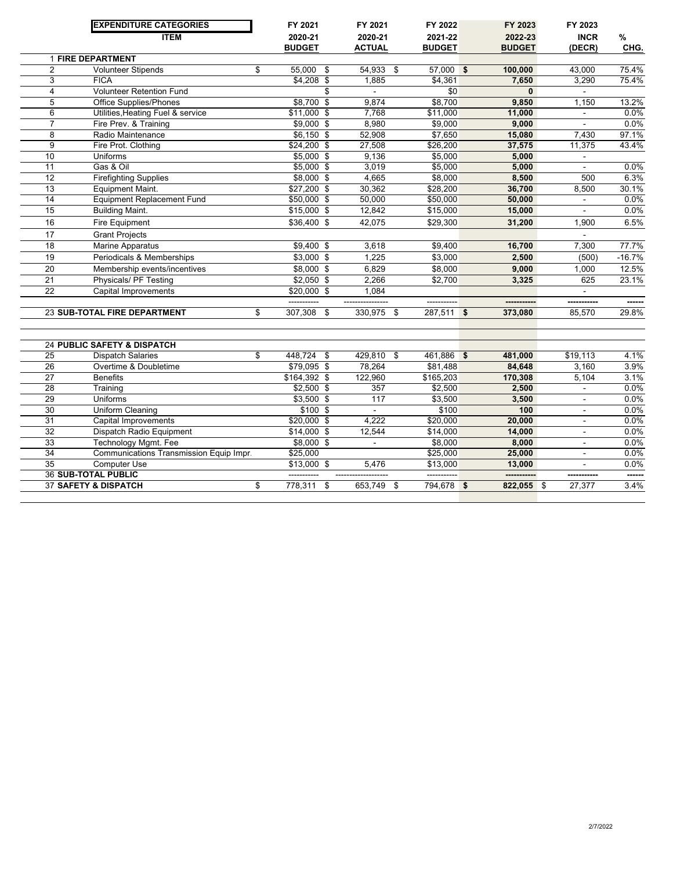|                 | <b>EXPENDITURE CATEGORIES</b>                         | FY 2021                    | FY 2021                  | FY 2022            | FY 2023          | FY 2023                  |          |
|-----------------|-------------------------------------------------------|----------------------------|--------------------------|--------------------|------------------|--------------------------|----------|
|                 | <b>ITEM</b>                                           | 2020-21                    | 2020-21                  | 2021-22            | 2022-23          | <b>INCR</b>              | %        |
|                 |                                                       | <b>BUDGET</b>              | <b>ACTUAL</b>            | <b>BUDGET</b>      | <b>BUDGET</b>    | (DECR)                   | CHG.     |
| $\overline{2}$  | <b>1 FIRE DEPARTMENT</b><br><b>Volunteer Stipends</b> | \$<br>55.000<br>\$         | 54.933                   | \$<br>$57,000$ \$  | 100.000          | 43.000                   | 75.4%    |
| 3               | <b>FICA</b>                                           | $$4,208$ \$                | 1,885                    | \$4,361            | 7,650            | 3,290                    | 75.4%    |
| $\overline{4}$  | <b>Volunteer Retention Fund</b>                       | \$                         |                          | \$0                | $\mathbf{0}$     |                          |          |
| $\overline{5}$  | <b>Office Supplies/Phones</b>                         | $$8,700$ \$                | 9.874                    | \$8,700            | 9,850            | 1,150                    | 13.2%    |
| $\overline{6}$  | Utilities, Heating Fuel & service                     | $$11,000$ \$               | 7,768                    | \$11,000           | 11,000           |                          | 0.0%     |
| $\overline{7}$  | Fire Prev. & Training                                 | \$9,000 \$                 | 8,980                    | \$9,000            | 9,000            |                          | 0.0%     |
| 8               | Radio Maintenance                                     | $$6,150$ \$                | 52,908                   | \$7,650            | 15,080           | 7,430                    | 97.1%    |
| 9               | Fire Prot. Clothing                                   | $$24,200$ \$               | 27,508                   | \$26,200           | 37,575           | 11,375                   | 43.4%    |
| 10              | <b>Uniforms</b>                                       | $$5,000$ \$                | 9,136                    | \$5,000            | 5,000            | $\blacksquare$           |          |
| 11              | Gas & Oil                                             | $$5,000$ \$                | 3,019                    | \$5,000            | 5,000            | $\sim$                   | 0.0%     |
| 12              |                                                       |                            | 4,665                    | \$8,000            |                  | 500                      | 6.3%     |
| 13              | <b>Firefighting Supplies</b><br>Equipment Maint.      | \$8,000 \$<br>$$27,200$ \$ | 30,362                   |                    | 8,500            | 8,500                    | 30.1%    |
| 14              |                                                       |                            | 50,000                   | \$28,200           | 36,700<br>50,000 |                          | 0.0%     |
| 15              | <b>Equipment Replacement Fund</b>                     | $$50,000$ \$               |                          | \$50,000           |                  | ä,                       | 0.0%     |
|                 | <b>Building Maint.</b>                                | $$15,000$ \$               | 12,842                   | \$15,000           | 15,000           |                          |          |
| 16              | Fire Equipment                                        | \$36,400 \$                | 42,075                   | \$29,300           | 31,200           | 1,900                    | 6.5%     |
| 17              | <b>Grant Projects</b>                                 |                            |                          |                    |                  |                          |          |
| 18              | <b>Marine Apparatus</b>                               | $$9,400$ \$                | 3,618                    | \$9,400            | 16,700           | 7,300                    | 77.7%    |
| 19              | Periodicals & Memberships                             | $$3,000$ \$                | 1,225                    | \$3,000            | 2,500            | (500)                    | $-16.7%$ |
| 20              | Membership events/incentives                          | \$8,000 \$                 | 6,829                    | \$8,000            | 9,000            | 1,000                    | 12.5%    |
| $\overline{21}$ | Physicals/ PF Testing                                 | $$2,050$ \$                | 2,266                    | \$2,700            | 3,325            | 625                      | 23.1%    |
| 22              | Capital Improvements                                  | \$20,000 \$                | 1,084                    |                    |                  |                          |          |
|                 |                                                       |                            |                          |                    |                  |                          |          |
|                 | 23 SUB-TOTAL FIRE DEPARTMENT                          | \$<br>307,308<br>\$        | 330,975                  | \$<br>$287,511$ \$ | 373,080          | 85,570                   | 29.8%    |
|                 |                                                       |                            |                          |                    |                  |                          |          |
|                 | 24 PUBLIC SAFETY & DISPATCH                           |                            |                          |                    |                  |                          |          |
| 25              | <b>Dispatch Salaries</b>                              | \$<br>$448,724$ \$         | 429,810 \$               | 461,886 \$         | 481,000          | \$19,113                 | 4.1%     |
| 26              | Overtime & Doubletime                                 | $$79,095$ \$               | 78,264                   | \$81,488           | 84,648           | 3,160                    | 3.9%     |
| 27              | <b>Benefits</b>                                       | \$164,392 \$               | 122,960                  | \$165,203          | 170,308          | 5,104                    | 3.1%     |
| 28              | Training                                              | $$2,500$ \$                | 357                      | \$2,500            | 2,500            | $\blacksquare$           | 0.0%     |
| 29              | <b>Uniforms</b>                                       | $$3,500$ \$                | 117                      | \$3,500            | 3,500            |                          | 0.0%     |
| 30              | Uniform Cleaning                                      | $$100$ \$                  | $\overline{a}$           | \$100              | 100              | $\overline{\phantom{a}}$ | 0.0%     |
| 31              | Capital Improvements                                  | \$20,000 \$                | 4,222                    | \$20,000           | 20,000           | $\blacksquare$           | 0.0%     |
| 32              | Dispatch Radio Equipment                              | $$14,000$ \$               | 12,544                   | \$14,000           | 14,000           |                          | 0.0%     |
| 33              | <b>Technology Mgmt. Fee</b>                           | $$8,000$ \$                | $\overline{\phantom{a}}$ | \$8,000            | 8,000            | L.                       | 0.0%     |
| 34              | Communications Transmission Equip Impr.               | \$25,000                   |                          | \$25,000           | 25,000           | $\blacksquare$           | 0.0%     |
| 35              | <b>Computer Use</b>                                   | $$13,000$ \$               | 5,476                    | \$13,000           | 13,000           | $\blacksquare$           | 0.0%     |
|                 | <b>36 SUB-TOTAL PUBLIC</b>                            |                            |                          |                    |                  |                          |          |
|                 | <b>37 SAFETY &amp; DISPATCH</b>                       | \$<br>$778,311$ \$         | $653,749$ \$             | 794,678 \$         | $822,055$ \$     | 27,377                   | 3.4%     |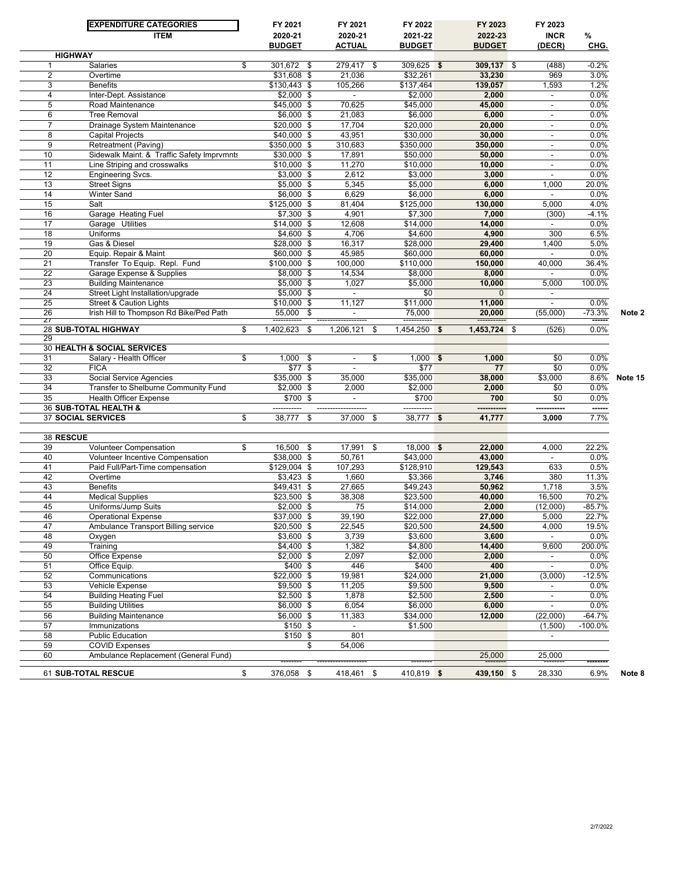|                 | <b>EXPENDITURE CATEGORIES</b>                          | FY 2021                    | FY 2021                  | FY 2022               | FY 2023          | FY 2023                  |              |         |
|-----------------|--------------------------------------------------------|----------------------------|--------------------------|-----------------------|------------------|--------------------------|--------------|---------|
|                 | <b>ITEM</b>                                            | 2020-21                    | 2020-21                  | 2021-22               | 2022-23          | <b>INCR</b>              | $\%$         |         |
|                 | <b>HIGHWAY</b>                                         | <b>BUDGET</b>              | <b>ACTUAL</b>            | <b>BUDGET</b>         | <b>BUDGET</b>    | (DECR)                   | CHG.         |         |
| 1               | Salaries                                               | \$<br>301,672 \$           | 279,417<br>\$            | $309,625$ \$          | 309,137 \$       | (488)                    | $-0.2%$      |         |
| $\overline{2}$  | Overtime                                               | \$31,608 \$                | 21,036                   | \$32,261              | 33,230           | 969                      | 3.0%         |         |
| 3               | <b>Benefits</b>                                        | \$130,443 \$               | 105,266                  | \$137,464             | 139,057          | 1,593                    | 1.2%         |         |
| 4               | Inter-Dept. Assistance                                 | $$2,000$ \$                | $\sim$                   | \$2,000               | 2,000            | $\overline{\phantom{a}}$ | 0.0%         |         |
| 5               | Road Maintenance                                       | \$45,000 \$                | 70,625                   | \$45,000              | 45,000           | $\blacksquare$           | 0.0%         |         |
| 6               | <b>Tree Removal</b>                                    | $$6,000$ \$                | 21,083                   | \$6,000               | 6,000            | $\overline{\phantom{a}}$ | 0.0%         |         |
| $\overline{7}$  | Drainage System Maintenance                            | \$20,000 \$                | 17,704                   | \$20,000              | 20,000           | $\blacksquare$           | 0.0%         |         |
| 8               | <b>Capital Projects</b>                                | $$40,000$ \$               | 43,951                   | \$30,000              | 30,000           | $\overline{\phantom{a}}$ | 0.0%         |         |
| 9               | Retreatment (Paving)                                   | \$350,000 \$               | 310,683                  | \$350,000             | 350,000          | $\sim$                   | 0.0%         |         |
| 10              | Sidewalk Maint. & Traffic Safety Imprvmnts             | \$30,000 \$                | 17,891                   | \$50,000              | 50,000           | $\blacksquare$           | 0.0%         |         |
| 11              | Line Striping and crosswalks                           | $$10,000$ \$               | 11,270                   | \$10,000              | 10,000           | $\blacksquare$           | 0.0%         |         |
| 12              | <b>Engineering Svcs.</b>                               | $$3,000$ \$                | 2,612                    | \$3,000               | 3,000            | $\sim$                   | 0.0%         |         |
| 13              | <b>Street Signs</b>                                    | $$5,000$ \$                | 5,345                    | \$5,000               | 6,000            | 1,000                    | 20.0%        |         |
| 14              | <b>Winter Sand</b>                                     | $$6,000$ \$                | 6,629                    | \$6,000               | 6,000            | $\sim$                   | 0.0%         |         |
| 15              | Salt                                                   | \$125,000 \$               | 81,404                   | \$125,000             | 130,000          | 5,000                    | 4.0%         |         |
| 16              | Garage Heating Fuel                                    | $$7,300$ \$                | 4,901                    | \$7,300               | 7,000            | (300)                    | $-4.1%$      |         |
| 17              | Garage Utilities                                       | $$14,000$ \$               | 12,608                   | \$14,000              | 14,000           | $\sim$                   | 0.0%         |         |
| 18<br>19        | Uniforms<br>Gas & Diesel                               | $$4,600$ \$<br>\$28,000 \$ | 4,706<br>16,317          | \$4,600<br>\$28,000   | 4,900<br>29,400  | 300<br>1,400             | 6.5%<br>5.0% |         |
| 20              |                                                        | $$60,000$ \$               | 45,985                   |                       |                  | $\sim$                   | 0.0%         |         |
| 21              | Equip. Repair & Maint<br>Transfer To Equip. Repl. Fund | \$100,000 \$               | 100,000                  | \$60,000<br>\$110,000 | 60,000           | 40,000                   | 36.4%        |         |
| $\overline{22}$ | Garage Expense & Supplies                              | \$8,000 \$                 | 14,534                   | \$8,000               | 150,000<br>8,000 |                          | 0.0%         |         |
| 23              | <b>Building Maintenance</b>                            | $$5,000$ \$                | 1,027                    | \$5.000               | 10,000           | 5,000                    | 100.0%       |         |
| 24              | Street Light Installation/upgrade                      | $$5,000$ \$                | $\blacksquare$           | \$0                   | $\mathbf{0}$     | $\sim$                   |              |         |
| 25              | <b>Street &amp; Caution Lights</b>                     | $$10,000$ \$               | 11,127                   | \$11,000              | 11,000           | $\mathbb{Z}^2$           | 0.0%         |         |
| 26              | Irish Hill to Thompson Rd Bike/Ped Path                | 55,000<br>\$               | $\blacksquare$           | 75,000                | 20,000           | (55,000)                 | $-73.3%$     | Note 2  |
| ZT              |                                                        |                            |                          |                       |                  |                          | ------       |         |
|                 | 28 SUB-TOTAL HIGHWAY                                   | \$<br>1,402,623<br>\$      | 1,206,121<br>\$          | $1,454,250$ \$        | $1,453,724$ \$   | (526)                    | 0.0%         |         |
| 29              | 30 HEALTH & SOCIAL SERVICES                            |                            |                          |                       |                  |                          |              |         |
| 31              | Salary - Health Officer                                | \$<br>$1,000$ \$           | \$<br>$\blacksquare$     | $1,000$ \$            | 1,000            | \$0                      | 0.0%         |         |
| 32              | <b>FICA</b>                                            | \$77 \$                    | $\overline{\phantom{a}}$ | \$77                  | 77               | \$0                      | 0.0%         |         |
| 33              | Social Service Agencies                                | $$35,000$ \$               | 35,000                   | \$35,000              | 38,000           | \$3,000                  | 8.6%         | Note 15 |
| 34              | Transfer to Shelburne Community Fund                   | $$2,000$ \$                | 2,000                    | \$2,000               | 2,000            | \$0                      | 0.0%         |         |
| 35              | <b>Health Officer Expense</b>                          | \$700 \$                   | $\overline{\phantom{a}}$ | \$700                 | 700              | \$0                      | 0.0%         |         |
|                 | 36 SUB-TOTAL HEALTH &                                  | ----------                 | -------------------      | -----------           | -----------      | -----------              | ------       |         |
|                 | <b>37 SOCIAL SERVICES</b>                              | \$<br>38,777<br>\$         | 37,000<br>\$             | 38,777 \$             | 41,777           | 3,000                    | 7.7%         |         |
|                 |                                                        |                            |                          |                       |                  |                          |              |         |
| 38 RESCUE       |                                                        |                            |                          |                       |                  |                          |              |         |
| 39              | Volunteer Compensation                                 | \$<br>16,500 \$            | $17,991$ \$              | $18,000$ \$           | 22,000           | 4,000                    | 22.2%        |         |
| 40              | Volunteer Incentive Compensation                       | $$38,000$ \$               | 50,761                   | \$43,000              | 43,000           | $\sim$                   | 0.0%         |         |
| 41              | Paid Full/Part-Time compensation                       | $$129,004$ \$              | 107,293                  | \$128,910             | 129,543          | 633                      | 0.5%         |         |
| 42              | Overtime                                               | $$3,423$ \$                | 1,660                    | \$3,366               | 3,746            | 380                      | 11.3%        |         |
| 43              | <b>Benefits</b>                                        | \$49,431 \$                | 27,665                   | \$49,243              | 50,962           | 1,718                    | 3.5%         |         |
| 44              | <b>Medical Supplies</b>                                | \$23,500 \$                | 38,308                   | \$23,500              | 40.000           | 16,500                   | 70.2%        |         |
| 45              | Uniforms/Jump Suits                                    | $$2,000$ \$                | 75                       | \$14,000              | 2.000            | (12,000)                 | $-85.7%$     |         |
| 46              | <b>Operational Expense</b>                             | \$37,000 \$                | 39,190                   | \$22,000              | 27,000           | 5,000                    | 22.7%        |         |
| 47              | Ambulance Transport Billing service                    | \$20,500 \$                | 22,545                   | \$20,500              | 24,500           | 4,000                    | 19.5%        |         |
| 48              | Oxygen                                                 | $$3,600$ \$                | 3,739                    | \$3,600               | 3,600            | $\sim$                   | 0.0%         |         |
| 49              | Training                                               | $$4,400$ \$                | 1,382                    | \$4,800               | 14,400           | 9,600                    | 200.0%       |         |
| 50              | Office Expense                                         | $$2,000$ \$                | 2,097                    | \$2,000               | 2,000            | $\overline{\phantom{a}}$ | 0.0%         |         |
| 51              | Office Equip.                                          | $$400$ \$                  | 446                      | \$400                 | 400              | $\blacksquare$           | 0.0%         |         |
| 52              | Communications                                         | $$22,000$ \$               | 19,981                   | \$24,000              | 21,000           | (3,000)                  | $-12.5%$     |         |
| 53              | Vehicle Expense                                        | $$9,500$ \$                | 11,205                   | \$9,500               | 9,500            | $\sim$                   | 0.0%         |         |
| 54              | <b>Building Heating Fuel</b>                           | $$2,500$ \$                | 1,878                    | \$2,500               | 2,500            | $\overline{\phantom{a}}$ | 0.0%         |         |
| 55              | <b>Building Utilities</b>                              | \$6,000 \$                 | 6,054                    | \$6,000               | 6,000            | $\sim$                   | 0.0%         |         |
| 56              | <b>Building Maintenance</b>                            | \$6,000 \$                 | 11,383                   | \$34,000              | 12,000           | (22,000)                 | $-64.7%$     |         |
| 57              | Immunizations                                          | $$150$ \$                  | $\blacksquare$           | \$1,500               |                  | (1,500)                  | $-100.0\%$   |         |
| 58              | <b>Public Education</b>                                | $$150$ \$                  | 801                      |                       |                  | $\overline{\phantom{0}}$ |              |         |
| 59              | <b>COVID Expenses</b>                                  | \$                         | 54,006                   |                       |                  |                          |              |         |
| 60              | Ambulance Replacement (General Fund)                   |                            |                          |                       | 25,000           | 25,000                   |              |         |
|                 | 61 SUB-TOTAL RESCUE                                    | \$<br>376,058 \$           | 418,461 \$               | 410,819 \$            | 439,150 \$       | 28,330                   | 6.9%         | Note 8  |
|                 |                                                        |                            |                          |                       |                  |                          |              |         |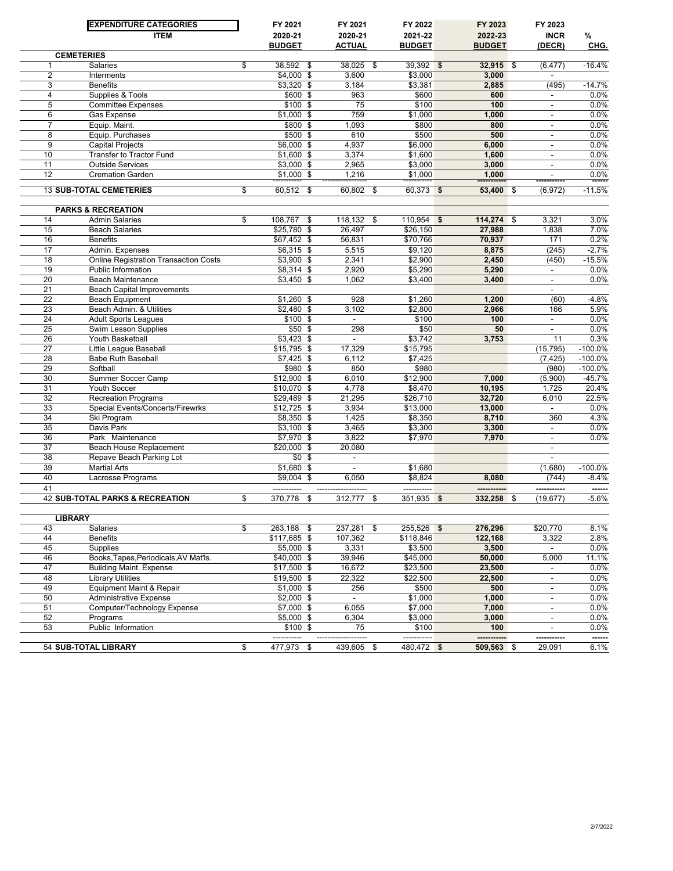|                       | <b>EXPENDITURE CATEGORIES</b>                     | FY 2021                           | FY 2021                  | FY 2022                   | FY 2023            | FY 2023                  |                   |
|-----------------------|---------------------------------------------------|-----------------------------------|--------------------------|---------------------------|--------------------|--------------------------|-------------------|
|                       | <b>ITEM</b>                                       | 2020-21                           | 2020-21                  | 2021-22                   | 2022-23            | <b>INCR</b>              | %                 |
|                       |                                                   | <b>BUDGET</b>                     | <b>ACTUAL</b>            | <b>BUDGET</b>             | <b>BUDGET</b>      | (DECR)                   | CHG.              |
|                       | <b>CEMETERIES</b>                                 |                                   |                          |                           |                    |                          |                   |
| $\mathbf{1}$          | Salaries                                          | \$<br>38,592 \$                   | 38,025<br>\$             | $39,392$ \$               | $32,915$ \$        | (6, 477)                 | $-16.4%$          |
| $\overline{2}$        | Interments                                        | $$4,000$ \$<br>$$3,320$ \$        | 3,600                    | \$3.000                   | 3,000              |                          |                   |
| 3<br>4                | <b>Benefits</b><br>Supplies & Tools               | \$600 \$                          | 3,184<br>963             | \$3,381<br>\$600          | 2,885<br>600       | (495)<br>$\blacksquare$  | $-14.7%$<br>0.0%  |
| $\overline{5}$        | <b>Committee Expenses</b>                         | \$100 \$                          | 75                       | \$100                     | 100                | $\overline{\phantom{a}}$ | 0.0%              |
| 6                     | Gas Expense                                       | $$1,000$ \$                       | 759                      | \$1,000                   | 1,000              | $\blacksquare$           | 0.0%              |
| $\overline{7}$        | Equip. Maint.                                     | \$800 \$                          | 1,093                    | \$800                     | 800                | $\overline{\phantom{a}}$ | 0.0%              |
| 8                     | Equip. Purchases                                  | \$500 \$                          | 610                      | \$500                     | 500                | $\overline{\phantom{a}}$ | 0.0%              |
| $\overline{9}$        | <b>Capital Projects</b>                           | \$6,000 \$                        | 4,937                    | \$6,000                   | 6,000              | $\overline{\phantom{a}}$ | 0.0%              |
| 10                    | <b>Transfer to Tractor Fund</b>                   | $$1,600$ \$                       | 3,374                    | \$1,600                   | 1,600              | $\overline{\phantom{a}}$ | 0.0%              |
| 11                    | <b>Outside Services</b>                           | $$3,000$ \$                       | 2,965                    | \$3,000                   | 3,000              | $\blacksquare$           | 0.0%              |
| 12                    | <b>Cremation Garden</b>                           | $$1,000$ \$                       | 1,216                    | \$1,000                   | 1,000              | $\blacksquare$           | 0.0%              |
|                       | <b>13 SUB-TOTAL CEMETERIES</b>                    | \$<br>60,512<br>\$                | 60,802<br>\$             | $60,373$ \$               | 53,400 \$          | (6, 972)                 | $-11.5%$          |
|                       |                                                   |                                   |                          |                           |                    |                          |                   |
|                       | <b>PARKS &amp; RECREATION</b>                     |                                   |                          |                           |                    |                          |                   |
| 14                    | <b>Admin Salaries</b>                             | \$<br>$108,767$ \$                | 118,132<br>\$            | 110,954<br>\$             | 114,274 \$         | 3,321                    | 3.0%              |
| 15                    | <b>Beach Salaries</b>                             | $$25,780$ \$                      | 26,497                   | \$26,150                  | 27,988             | 1,838                    | 7.0%              |
| 16                    | <b>Benefits</b>                                   | $$67,452$ \$                      | 56,831                   | \$70,766                  | 70,937             | 171                      | 0.2%              |
| 17                    | Admin. Expenses                                   | $$6,315$ \$                       | 5,515                    | \$9,120                   | 8,875              | (245)                    | $-2.7%$           |
| 18                    | <b>Online Registration Transaction Costs</b>      | $$3,900$ \$                       | 2,341                    | \$2,900                   | 2,450              | (450)                    | $-15.5%$          |
| 19                    | <b>Public Information</b>                         | $$8,314$ \$                       | 2,920                    | \$5,290                   | 5,290              | $\blacksquare$           | 0.0%              |
| 20                    | <b>Beach Maintenance</b>                          | $$3,450$ \$                       | 1,062                    | \$3,400                   | 3,400              | $\blacksquare$           | 0.0%              |
| $\overline{21}$       | <b>Beach Capital Improvements</b>                 |                                   |                          |                           |                    | $\blacksquare$           |                   |
| 22                    | <b>Beach Equipment</b>                            | $$1,260$ \$                       | 928                      | \$1,260                   | 1,200              | (60)                     | $-4.8%$           |
| 23                    | Beach Admin. & Utilities                          | $$2,480$ \$                       | 3,102                    | \$2,800                   | 2,966              | 166                      | 5.9%              |
| 24                    | <b>Adult Sports Leagues</b>                       | $$100$ \$                         | $\overline{\phantom{a}}$ | \$100                     | 100                | $\overline{\phantom{a}}$ | 0.0%              |
| $\overline{25}$       | <b>Swim Lesson Supplies</b>                       | $$50$ \$                          | 298                      | \$50                      | 50                 | $\blacksquare$           | 0.0%              |
| 26                    | Youth Basketball                                  | $$3,423$ \$                       | $\blacksquare$           | \$3,742                   | 3,753              | 11                       | 0.3%              |
| $\overline{27}$       | Little League Baseball                            | $$15,795$ \$                      | 17,329                   | \$15,795                  |                    | (15, 795)                | $-100.0%$         |
| 28                    | <b>Babe Ruth Baseball</b>                         | $$7,425$ \$                       | 6,112                    | \$7,425                   |                    | (7, 425)                 | $-100.0%$         |
| 29                    | Softball                                          | $$980$ \$                         | 850                      | \$980                     |                    | (980)                    | $-100.0%$         |
| 30                    | <b>Summer Soccer Camp</b>                         | $$12,900$ \$                      | 6,010                    | \$12,900                  | 7,000              | (5,900)                  | $-45.7%$<br>20.4% |
| 31<br>$\overline{32}$ | <b>Youth Soccer</b><br><b>Recreation Programs</b> | $$10,070$ \$<br>$$29,489$ \$      | 4,778<br>21,295          | \$8,470<br>\$26,710       | 10,195<br>32,720   | 1,725<br>6,010           | 22.5%             |
| 33                    | Special Events/Concerts/Firewrks                  | $$12,725$ \$                      | 3,934                    | \$13,000                  | 13,000             | $\mathbf{r}$             | 0.0%              |
| 34                    | Ski Program                                       | $$8,350$ \$                       | 1,425                    | \$8,350                   | 8,710              | 360                      | 4.3%              |
| $\overline{35}$       | Davis Park                                        | $$3,100$ \$                       | 3,465                    | \$3,300                   | 3,300              | $\blacksquare$           | 0.0%              |
| 36                    | Park Maintenance                                  | $$7,970$ \$                       | 3,822                    | \$7,970                   | 7,970              | $\overline{\phantom{a}}$ | 0.0%              |
| $\overline{37}$       | Beach House Replacement                           | $$20,000$ \$                      | 20,080                   |                           |                    | $\blacksquare$           |                   |
| 38                    | Repave Beach Parking Lot                          | $$0$ \$                           | $\overline{\phantom{a}}$ |                           |                    | $\overline{\phantom{a}}$ |                   |
| 39                    | <b>Martial Arts</b>                               | $$1,680$ \$                       |                          | \$1,680                   |                    | (1,680)                  | $-100.0%$         |
| 40                    | Lacrosse Programs                                 | $$9,004$ \$                       | 6,050                    | \$8,824                   | 8,080              | (744)                    | $-8.4%$           |
| 41                    |                                                   |                                   |                          | -----------               |                    |                          | ------            |
|                       | <b>42 SUB-TOTAL PARKS &amp; RECREATION</b>        | \$<br>370,778<br>\$               | 312,777<br>\$            | $351,935$ \$              | 332,258 \$         | (19, 677)                | $-5.6%$           |
|                       |                                                   |                                   |                          |                           |                    |                          |                   |
|                       | <b>LIBRARY</b>                                    |                                   |                          |                           |                    |                          |                   |
| 43<br>44              | Salaries                                          | \$<br>263,188 \$<br>$$117,685$ \$ | 237,281<br>\$<br>107,362 | $255,526$ \$<br>\$118,846 | 276,296<br>122,168 | \$20,770                 | 8.1%<br>2.8%      |
| 45                    | Benefits<br>Supplies                              | $$5,000$ \$                       | 3,331                    | \$3,500                   | 3,500              | 3,322                    | 0.0%              |
| 46                    | Books, Tapes, Periodicals, AV Mat'ls.             | $$40,000$ \$                      | 39,946                   | \$45,000                  | 50,000             | 5,000                    | 11.1%             |
| 47                    | <b>Building Maint. Expense</b>                    | $$17,500$ \$                      | 16,672                   | \$23,500                  | 23,500             | $\overline{\phantom{a}}$ | 0.0%              |
| 48                    | <b>Library Utilities</b>                          | $$19,500$ \$                      | 22,322                   | \$22,500                  | 22,500             | $\overline{\phantom{a}}$ | $0.0\%$           |
| 49                    | Equipment Maint & Repair                          | $$1,000$ \$                       | 256                      | \$500                     | 500                | $\overline{\phantom{a}}$ | 0.0%              |
| 50                    | <b>Administrative Expense</b>                     | $$2,000$ \$                       | $\Box$                   | \$1,000                   | 1,000              | $\overline{\phantom{a}}$ | 0.0%              |
| 51                    | Computer/Technology Expense                       | $$7,000$ \$                       | 6,055                    | \$7,000                   | 7,000              | $\overline{\phantom{a}}$ | 0.0%              |
| 52                    | Programs                                          | $$5,000$ \$                       | 6,304                    | \$3,000                   | 3,000              | $\overline{\phantom{a}}$ | 0.0%              |
| 53                    | Public Information                                | $$100$ \$                         | 75                       | \$100                     | 100                | $\overline{\phantom{a}}$ | $0.0\%$           |
|                       |                                                   | -----------                       |                          | -----------               | -----------        |                          | ------            |
|                       | 54 SUB-TOTAL LIBRARY                              | \$<br>477,973<br>\$               | 439,605 \$               | 480,472 \$                | 509,563 \$         | 29,091                   | 6.1%              |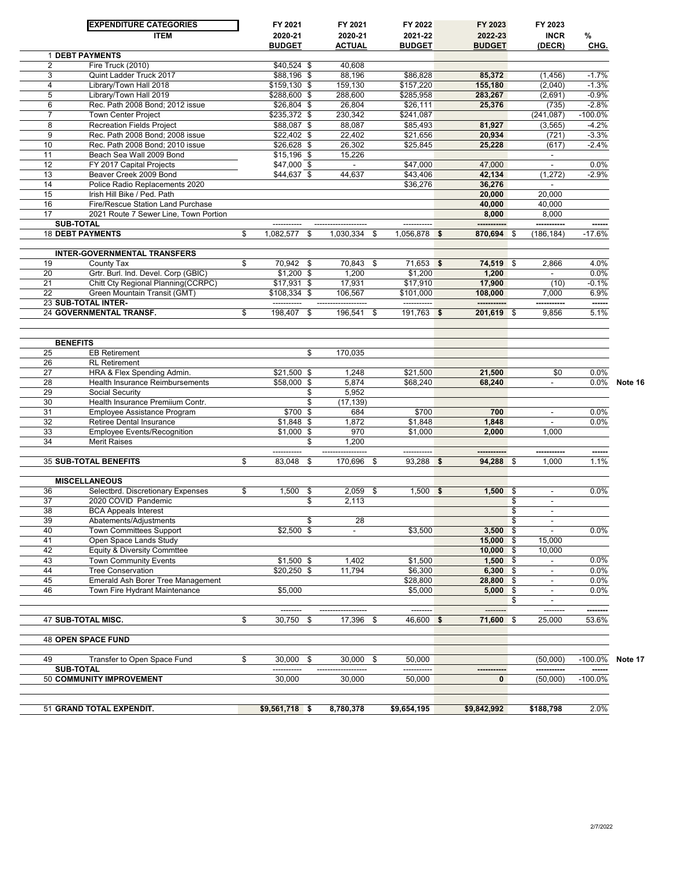|          | <b>EXPENDITURE CATEGORIES</b>                      | FY 2021                     | FY 2021                  | FY 2022              | FY 2023          |     | FY 2023                  |            |         |
|----------|----------------------------------------------------|-----------------------------|--------------------------|----------------------|------------------|-----|--------------------------|------------|---------|
|          | <b>ITEM</b>                                        | 2020-21                     | 2020-21                  | 2021-22              | 2022-23          |     | <b>INCR</b>              | %          |         |
|          |                                                    | <b>BUDGET</b>               | ACTUAL                   | <b>BUDGET</b>        | <b>BUDGET</b>    |     | (DECR)                   | CHG.       |         |
| 2        | <b>1 DEBT PAYMENTS</b><br>Fire Truck (2010)        | $\overline{$40,524}$ \$     | 40,608                   |                      |                  |     |                          |            |         |
| 3        | Quint Ladder Truck 2017                            | \$88,196 \$                 | 88,196                   | \$86,828             | 85,372           |     | (1, 456)                 | $-1.7%$    |         |
| 4        | Library/Town Hall 2018                             | \$159,130 \$                | 159,130                  | \$157.220            | 155,180          |     | (2,040)                  | $-1.3%$    |         |
| 5        | Library/Town Hall 2019                             | \$288,600 \$                | 288,600                  | \$285,958            | 283,267          |     | (2,691)                  | $-0.9%$    |         |
| 6        | Rec. Path 2008 Bond; 2012 issue                    | \$26,804 \$                 | 26,804                   | \$26,111             | 25,376           |     | (735)                    | $-2.8%$    |         |
| 7        | <b>Town Center Project</b>                         | \$235,372 \$                | 230,342                  | \$241,087            |                  |     | (241, 087)               | $-100.0%$  |         |
| 8        | <b>Recreation Fields Project</b>                   | $$88,087$ \$                | 88,087                   | \$85,493             | 81,927           |     | (3, 565)                 | $-4.2%$    |         |
| 9        | Rec. Path 2008 Bond: 2008 issue                    | $$22,402$ \$                | 22,402                   | \$21.656             | 20,934           |     | (721)                    | $-3.3%$    |         |
| 10       | Rec. Path 2008 Bond: 2010 issue                    | \$26,628 \$                 | 26,302                   | \$25,845             | 25,228           |     | (617)                    | $-2.4%$    |         |
| 11<br>12 | Beach Sea Wall 2009 Bond                           | $$15,196$ \$                | 15,226                   |                      |                  |     |                          | 0.0%       |         |
| 13       | FY 2017 Capital Projects<br>Beaver Creek 2009 Bond | $$47,000$ \$<br>\$44,637 \$ | 44,637                   | \$47,000<br>\$43,406 | 47,000<br>42,134 |     | (1, 272)                 | $-2.9%$    |         |
| 14       | Police Radio Replacements 2020                     |                             |                          | \$36,276             | 36,276           |     |                          |            |         |
| 15       | Irish Hill Bike / Ped. Path                        |                             |                          |                      | 20,000           |     | 20.000                   |            |         |
| 16       | Fire/Rescue Station Land Purchase                  |                             |                          |                      | 40,000           |     | 40,000                   |            |         |
| 17       | 2021 Route 7 Sewer Line, Town Portion              |                             |                          |                      | 8.000            |     | 8.000                    |            |         |
|          | <b>SUB-TOTAL</b>                                   |                             |                          |                      |                  |     |                          |            |         |
|          | <b>18 DEBT PAYMENTS</b>                            | \$<br>1.082.577<br>\$       | 1,030,334 \$             | 1,056,878 \$         | 870,694          | -\$ | (186, 184)               | $-17.6%$   |         |
|          |                                                    |                             |                          |                      |                  |     |                          |            |         |
|          | <b>INTER-GOVERNMENTAL TRANSFERS</b>                |                             |                          |                      |                  |     |                          |            |         |
| 19       | County Tax                                         | \$<br>70,942 \$             | 70.843 \$                | $71.653$ \$          | 74,519 \$        |     | 2,866                    | 4.0%       |         |
| 20       | Grtr. Burl. Ind. Devel. Corp (GBIC)                | $$1,200$ \$                 | 1,200                    | \$1,200              | 1,200            |     |                          | 0.0%       |         |
| 21       | Chitt Cty Regional Planning(CCRPC)                 | $$17,931$ \$                | 17,931                   | \$17,910             | 17,900           |     | (10)                     | $-0.1%$    |         |
| 22       | Green Mountain Transit (GMT)                       | \$108,334 \$                | 106,567                  | \$101,000            | 108,000          |     | 7.000                    | 6.9%       |         |
|          | 23 SUB-TOTAL INTER-                                |                             |                          |                      |                  |     |                          |            |         |
|          | 24 GOVERNMENTAL TRANSF.                            | \$<br>198,407<br>\$         | 196,541<br>\$            | $191,763$ \$         | 201,619 \$       |     | 9,856                    | 5.1%       |         |
|          |                                                    |                             |                          |                      |                  |     |                          |            |         |
|          | <b>BENEFITS</b>                                    |                             |                          |                      |                  |     |                          |            |         |
| 25       | <b>EB Retirement</b>                               | \$                          | 170,035                  |                      |                  |     |                          |            |         |
| 26       | <b>RL</b> Retirement                               |                             |                          |                      |                  |     |                          |            |         |
| 27       | HRA & Flex Spending Admin.                         | $$21,500$ \$                | 1,248                    | \$21,500             | 21,500           |     | \$0                      | 0.0%       |         |
| 28       | <b>Health Insurance Reimbursements</b>             | \$58,000 \$                 | 5,874                    | \$68,240             | 68,240           |     |                          | 0.0%       | Note 16 |
| 29       | Social Security                                    | \$                          | 5,952                    |                      |                  |     |                          |            |         |
| 30       | Health Insurance Premiium Contr.                   | \$                          | (17, 139)                |                      |                  |     |                          |            |         |
| 31       | <b>Employee Assistance Program</b>                 | \$700 \$                    | 684                      | \$700                | 700              |     |                          | 0.0%       |         |
| 32       | <b>Retiree Dental Insurance</b>                    | $$1,848$ \$                 | 1,872                    | \$1,848              | 1.848            |     |                          | 0.0%       |         |
| 33       | <b>Employee Events/Recognition</b>                 | $$1,000$ \$                 | 970                      | \$1,000              | 2,000            |     | 1.000                    |            |         |
| 34       | <b>Merit Raises</b>                                | \$                          | 1,200                    |                      |                  |     |                          |            |         |
|          |                                                    |                             |                          | -----------          |                  |     |                          | ------     |         |
|          | <b>35 SUB-TOTAL BENEFITS</b>                       | \$<br>83,048<br>\$          | 170,696<br>\$            | 93,288               | 94,288 \$<br>\$  |     | 1,000                    | 1.1%       |         |
|          | <b>MISCELLANEOUS</b>                               |                             |                          |                      |                  |     |                          |            |         |
| 36       | Selectbrd. Discretionary Expenses                  | \$<br>1,500<br>\$           | $2,059$ \$               | 1,500                | 1,500<br>\$      | \$  |                          | 0.0%       |         |
| 37       | 2020 COVID Pandemic                                | \$                          | 2,113                    |                      |                  | \$  |                          |            |         |
| 38       | <b>BCA Appeals Interest</b>                        |                             |                          |                      |                  | \$  | $\overline{\phantom{a}}$ |            |         |
| 39       | Abatements/Adjustments                             | \$                          | 28                       |                      |                  | \$  |                          |            |         |
| 40       | <b>Town Committees Support</b>                     | $$2,500$ \$                 | $\overline{\phantom{a}}$ | \$3,500              | 3,500            | \$  |                          | 0.0%       |         |
| 41       | Open Space Lands Study                             |                             |                          |                      | 15,000 \$        |     | 15,000                   |            |         |
| 42       | Equity & Diversity Commttee                        |                             |                          |                      | 10,000           | \$  | 10,000                   |            |         |
| 43       | <b>Town Community Events</b>                       | $$1,500$ \$                 | 1,402                    | \$1,500              | 1,500            | \$  |                          | 0.0%       |         |
| 44       | <b>Tree Conservation</b>                           | $$20,250$ \$                | 11,794                   | \$6,300              | 6,300            | \$  | ٠                        | 0.0%       |         |
| 45       | Emerald Ash Borer Tree Management                  |                             |                          | \$28,800             | 28,800           | \$  |                          | 0.0%       |         |
| 46       | Town Fire Hydrant Maintenance                      | \$5,000                     |                          | \$5,000              | 5,000            | \$  | $\overline{\phantom{a}}$ | 0.0%       |         |
|          |                                                    |                             |                          |                      |                  | \$  |                          |            |         |
|          |                                                    |                             |                          | --------             | -----            |     | --------                 |            |         |
|          | 47 SUB-TOTAL MISC.                                 | \$<br>30.750 \$             | 17,396 \$                | 46.600 \$            | 71,600 \$        |     | 25,000                   | 53.6%      |         |
|          | <b>48 OPEN SPACE FUND</b>                          |                             |                          |                      |                  |     |                          |            |         |
| 49       | Transfer to Open Space Fund                        | \$<br>30,000<br>-\$         | 30,000 \$                | 50.000               |                  |     | (50,000)                 | $-100.0%$  | Note 17 |
|          | <b>SUB-TOTAL</b>                                   |                             |                          | -----------          |                  |     |                          |            |         |
|          | 50 COMMUNITY IMPROVEMENT                           | 30,000                      | 30,000                   | 50,000               | 0                |     | (50,000)                 | $-100.0\%$ |         |
|          | 51 GRAND TOTAL EXPENDIT.                           | $$9,561,718$ \$             | 8,780,378                | \$9,654,195          | \$9,842,992      |     | \$188,798                | 2.0%       |         |
|          |                                                    |                             |                          |                      |                  |     |                          |            |         |